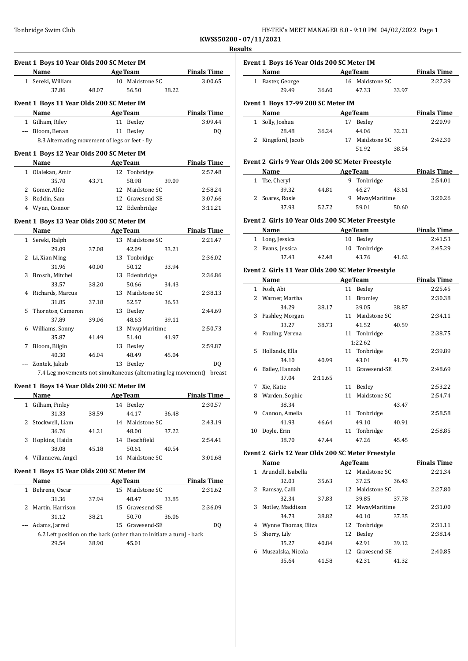J.

| HY-TEK's MEET MANAGER 8.0 - 9:10 PM 04/02/2022 Page 1 |  |  |  |
|-------------------------------------------------------|--|--|--|
|-------------------------------------------------------|--|--|--|

**KWSS50200 - 07/11/2021 Results**

|     | Event 1 Boys 10 Year Olds 200 SC Meter IM<br>Name AgeTeam Finals Time          |       |                 |       |                                       |
|-----|--------------------------------------------------------------------------------|-------|-----------------|-------|---------------------------------------|
|     | 1 Sereki, William                                                              |       | 10 Maidstone SC |       | 3:00.65                               |
|     | 37.86                                                                          | 48.07 | 56.50           | 38.22 |                                       |
|     | Event 1 Boys 11 Year Olds 200 SC Meter IM                                      |       |                 |       |                                       |
|     | Name AgeTeam                                                                   |       |                 |       | <b>Finals Time</b>                    |
|     | 1 Gilham, Riley                                                                |       | 11 Bexley       |       | 3:09.44                               |
|     | --- Bloom, Benan                                                               |       | 11 Bexley       |       | DQ                                    |
|     | 8.3 Alternating movement of legs or feet - fly                                 |       |                 |       |                                       |
|     |                                                                                |       |                 |       |                                       |
|     | Event 1 Boys 12 Year Olds 200 SC Meter IM<br>Name<br><b>Example 2</b> Age Team |       |                 |       | <b>Example 2</b> Finals Time          |
|     | 1 Olalekan, Amir                                                               |       | 12 Tonbridge    |       | 2:57.48                               |
|     | 35.70                                                                          | 43.71 | 58.98           | 39.09 |                                       |
|     | 2 Gomer, Alfie                                                                 |       | 12 Maidstone SC |       | 2:58.24                               |
|     | 3 Reddin, Sam                                                                  |       | 12 Gravesend-SE |       | 3:07.66                               |
|     | 4 Wynn, Connor                                                                 |       | 12 Edenbridge   |       | 3:11.21                               |
|     |                                                                                |       |                 |       |                                       |
|     | Event 1 Boys 13 Year Olds 200 SC Meter IM                                      |       |                 |       |                                       |
|     | Name                                                                           |       |                 |       | <b>Example 2 Age Team Finals Time</b> |
|     | 1 Sereki, Ralph                                                                |       | 13 Maidstone SC |       | 2:21.47                               |
|     | 29.09                                                                          | 37.08 | 42.09           | 33.21 |                                       |
|     | 2 Li, Xian Ming                                                                |       | 13 Tonbridge    |       | 2:36.02                               |
|     | 31.96                                                                          | 40.00 | 50.12           | 33.94 |                                       |
|     | 3 Brosch, Mitchel                                                              |       | 13 Edenbridge   |       | 2:36.86                               |
|     | 33.57                                                                          | 38.20 | 50.66           | 34.43 |                                       |
|     | 4 Richards, Marcus                                                             |       | 13 Maidstone SC |       | 2:38.13                               |
|     | 31.85                                                                          | 37.18 | 52.57           | 36.53 |                                       |
| 5   | Thornton, Cameron                                                              |       | 13 Bexley       |       | 2:44.69                               |
|     | 37.89                                                                          | 39.06 | 48.63           | 39.11 |                                       |
|     | 6 Williams, Sonny                                                              |       | 13 MwayMaritime |       | 2:50.73                               |
|     | 35.87                                                                          | 41.49 | 51.40           | 41.97 |                                       |
| 7   | Bloom, Bilgin                                                                  |       | 13 Bexley       |       | 2:59.87                               |
|     | 40.30                                                                          | 46.04 | 48.49           | 45.04 |                                       |
| --- | Zontek, Jakub                                                                  |       | 13 Bexley       |       | DO.                                   |
|     |                                                                                |       |                 |       |                                       |
|     | 7.4 Leg movements not simultaneous (alternating leg movement) - breast         |       |                 |       |                                       |
|     |                                                                                |       |                 |       |                                       |
|     | Event 1 Boys 14 Year Olds 200 SC Meter IM<br>Name                              |       |                 |       | Age Team Finals Time                  |
|     | 1 Gilham, Finley                                                               |       | 14 Bexley       |       | 2:30.57                               |
|     | 31.33                                                                          | 38.59 | 44.17           | 36.48 |                                       |
|     | 2 Stockwell, Liam                                                              |       | 14 Maidstone SC |       | 2:43.19                               |
|     | 36.76                                                                          | 41.21 | 48.00           | 37.22 |                                       |
|     | Hopkins, Haidn                                                                 |       | 14 Beachfield   |       | 2:54.41                               |
|     | 38.08                                                                          | 45.18 | 50.61           | 40.54 |                                       |
|     | 4 Villanueva, Angel                                                            |       | 14 Maidstone SC |       | 3:01.68                               |
| 3   |                                                                                |       |                 |       |                                       |
|     | Event 1 Boys 15 Year Olds 200 SC Meter IM<br>Name                              |       | <b>AgeTeam</b>  |       | <b>Finals Time</b>                    |
|     | 1 Behrens, Oscar                                                               |       | 15 Maidstone SC |       | 2:31.62                               |
|     | 31.36                                                                          | 37.94 | 48.47           | 33.85 |                                       |
|     | 2 Martin, Harrison                                                             |       | 15 Gravesend-SE |       | 2:36.09                               |
|     | 31.12                                                                          | 38.21 | 50.70           | 36.06 |                                       |
|     | Adams, Jarred                                                                  |       | 15 Gravesend-SE |       | DQ                                    |
|     | 6.2 Left position on the back (other than to initiate a turn) - back           |       |                 |       |                                       |

**Event 1 Boys 16 Year Olds 200 SC Meter IM Age Team Finals Time** 1 Baster, George 16 Maidstone SC 2:27.39 29.49 36.60 47.33 33.97 **Event 1 Boys 17-99 200 SC Meter IM**

| Name               |       | <b>Finals Time</b> |                 |       |         |
|--------------------|-------|--------------------|-----------------|-------|---------|
| 1 Solly, Joshua    |       | 17                 | Bexley          |       | 2:20.99 |
| 28.48              | 36.24 |                    | 44.06           | 32.21 |         |
| 2 Kingsford, Jacob |       |                    | 17 Maidstone SC |       | 2:42.30 |
|                    |       |                    | 51.92           | 38.54 |         |

### **Event 2 Girls 9 Year Olds 200 SC Meter Freestyle**

| Name            | <b>AgeTeam</b> | <b>Finals Time</b> |       |         |
|-----------------|----------------|--------------------|-------|---------|
| 1 Tse, Cheryl   |                | Tonbridge          |       | 2:54.01 |
| 39.32           | 44.81          | 46.27              | 43.61 |         |
| 2 Soares, Rosie |                | MwayMaritime       |       | 3:20.26 |
| 37.93           | 52.72          | 59.01              | 50.60 |         |

### **Event 2 Girls 10 Year Olds 200 SC Meter Freestyle**

| Name             | <b>AgeTeam</b> | <b>Finals Time</b> |       |         |
|------------------|----------------|--------------------|-------|---------|
| 1 Long, Jessica  |                | 10 Bexley          |       | 2:41.53 |
| 2 Evans, Jessica |                | 10 Tonbridge       |       | 2:45.29 |
| 37.43            | 42.48          | 43.76              | 41.62 |         |

#### **Event 2 Girls 11 Year Olds 200 SC Meter Freestyle**

|               | Name            |         |    | <b>AgeTeam</b> |       | <b>Finals Time</b> |
|---------------|-----------------|---------|----|----------------|-------|--------------------|
| 1             | Fosh, Abi       |         |    | 11 Bexley      |       | 2:25.45            |
| $\mathcal{L}$ | Warner, Martha  |         | 11 | Bromley        |       | 2:30.38            |
|               | 34.29           | 38.17   |    | 39.05          | 38.87 |                    |
| 3             | Pashley, Morgan |         | 11 | Maidstone SC   |       | 2:34.11            |
|               | 33.27           | 38.73   |    | 41.52          | 40.59 |                    |
| 4             | Pauling, Verena |         |    | 11 Tonbridge   |       | 2:38.75            |
|               |                 |         |    | 1:22.62        |       |                    |
| 5             | Hollands, Ella  |         |    | 11 Tonbridge   |       | 2:39.89            |
|               | 34.10           | 40.99   |    | 43.01          | 41.79 |                    |
| 6             | Bailey, Hannah  |         | 11 | Gravesend-SE   |       | 2:48.69            |
|               | 37.04           | 2:11.65 |    |                |       |                    |
| 7             | Xie, Katie      |         | 11 | Bexley         |       | 2:53.22            |
| 8             | Warden, Sophie  |         | 11 | Maidstone SC   |       | 2:54.74            |
|               | 38.34           |         |    |                | 43.47 |                    |
| 9             | Cannon, Amelia  |         | 11 | Tonbridge      |       | 2:58.58            |
|               | 41.93           | 46.64   |    | 49.10          | 40.91 |                    |
| 10            | Doyle, Erin     |         | 11 | Tonbridge      |       | 2:58.85            |
|               | 38.70           | 47.44   |    | 47.26          | 45.45 |                    |

### **Event 2 Girls 12 Year Olds 200 SC Meter Freestyle**

|   | Name                |       |    | <b>AgeTeam</b>  |       | <b>Finals Time</b> |
|---|---------------------|-------|----|-----------------|-------|--------------------|
| 1 | Arundell, Isabella  |       | 12 | Maidstone SC    |       | 2:21.34            |
|   | 32.03               | 35.63 |    | 37.25           | 36.43 |                    |
| 2 | Ramsay, Calli       |       | 12 | Maidstone SC    |       | 2:27.80            |
|   | 32.34               | 37.83 |    | 39.85           | 37.78 |                    |
| 3 | Notley, Maddison    |       | 12 | MwayMaritime    |       | 2:31.00            |
|   | 34.73               | 38.82 |    | 40.10           | 37.35 |                    |
| 4 | Wynne Thomas, Eliza |       |    | 12 Tonbridge    |       | 2:31.11            |
| 5 | Sherry, Lily        |       | 12 | Bexley          |       | 2:38.14            |
|   | 35.27               | 40.84 |    | 42.91           | 39.12 |                    |
| 6 | Muszalska, Nicola   |       |    | 12 Gravesend-SE |       | 2:40.85            |
|   | 35.64               | 41.58 |    | 42.31           | 41.32 |                    |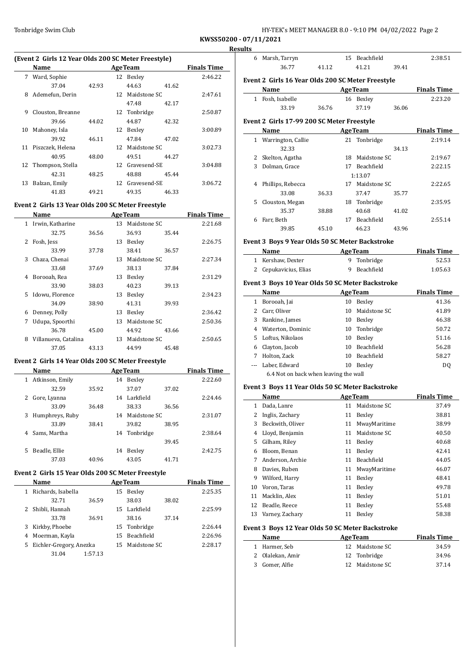| HY-TEK's MEET MANAGER 8.0 - 9:10 PM 04/02/2022 Page 2 |  |
|-------------------------------------------------------|--|
|-------------------------------------------------------|--|

6 Marsh, Tarryn 15 Beachfield 2:38.51

**KWSS50200 - 07/11/2021 Results**

### **(Event 2 Girls 12 Year Olds 200 SC Meter Freestyle)**

|    | Name              |       |     | <b>AgeTeam</b>  |       | <b>Finals Time</b> |
|----|-------------------|-------|-----|-----------------|-------|--------------------|
|    | 7 Ward, Sophie    |       |     | 12 Bexley       |       | 2:46.22            |
|    | 37.04             | 42.93 |     | 44.63           | 41.62 |                    |
| 8  | Ademefun, Derin   |       | 12  | Maidstone SC    |       | 2:47.61            |
|    |                   |       |     | 47.48           | 42.17 |                    |
| 9  | Clouston, Breanne |       |     | 12 Tonbridge    |       | 2:50.87            |
|    | 39.66             | 44.02 |     | 44.87           | 42.32 |                    |
| 10 | Mahoney, Isla     |       | 12  | Bexley          |       | 3:00.89            |
|    | 39.92             | 46.11 |     | 47.84           | 47.02 |                    |
| 11 | Piszczek, Helena  |       | 12. | Maidstone SC    |       | 3:02.73            |
|    | 40.95             | 48.00 |     | 49.51           | 44.27 |                    |
| 12 | Thompson, Stella  |       |     | 12 Gravesend-SE |       | 3:04.88            |
|    | 42.31             | 48.25 |     | 48.88           | 45.44 |                    |
| 13 | Balzan, Emily     |       |     | 12 Gravesend-SE |       | 3:06.72            |
|    | 41.83             | 49.21 |     | 49.35           | 46.33 |                    |

#### **Event 2 Girls 13 Year Olds 200 SC Meter Freestyle**

|              | Name                 |       |    | <b>AgeTeam</b>  |       | <b>Finals Time</b> |
|--------------|----------------------|-------|----|-----------------|-------|--------------------|
| $\mathbf{1}$ | Irwin, Katharine     |       |    | 13 Maidstone SC |       | 2:21.68            |
|              | 32.75                | 36.56 |    | 36.93           | 35.44 |                    |
| 2            | Fosh, Jess           |       | 13 | Bexley          |       | 2:26.75            |
|              | 33.99                | 37.78 |    | 38.41           | 36.57 |                    |
| 3            | Chaza, Chenai        |       | 13 | Maidstone SC    |       | 2:27.34            |
|              | 33.68                | 37.69 |    | 38.13           | 37.84 |                    |
| 4            | Borooah, Rea         |       | 13 | Bexley          |       | 2:31.29            |
|              | 33.90                | 38.03 |    | 40.23           | 39.13 |                    |
| 5.           | Idowu, Florence      |       | 13 | Bexley          |       | 2:34.23            |
|              | 34.09                | 38.90 |    | 41.31           | 39.93 |                    |
| 6            | Denney, Polly        |       | 13 | Bexley          |       | 2:36.42            |
| 7            | Udupa, Spoorthi      |       | 13 | Maidstone SC    |       | 2:50.36            |
|              | 36.78                | 45.00 |    | 44.92           | 43.66 |                    |
| 8            | Villanueva, Catalina |       | 13 | Maidstone SC    |       | 2:50.65            |
|              | 37.05                | 43.13 |    | 44.99           | 45.48 |                    |
|              |                      |       |    |                 |       |                    |

### **Event 2 Girls 14 Year Olds 200 SC Meter Freestyle**

|   | Name            |       |    | <b>AgeTeam</b> |       | <b>Finals Time</b> |
|---|-----------------|-------|----|----------------|-------|--------------------|
| 1 | Atkinson, Emily |       | 14 | Bexley         |       | 2:22.60            |
|   | 32.59           | 35.92 |    | 37.07          | 37.02 |                    |
| 2 | Gore, Lyanna    |       | 14 | Larkfield      |       | 2:24.46            |
|   | 33.09           | 36.48 |    | 38.33          | 36.56 |                    |
| 3 | Humphreys, Ruby |       | 14 | Maidstone SC   |       | 2:31.07            |
|   | 33.89           | 38.41 |    | 39.82          | 38.95 |                    |
| 4 | Sams. Martha    |       | 14 | Tonbridge      |       | 2:38.64            |
|   |                 |       |    |                | 39.45 |                    |
| 5 | Beadle, Ellie   |       | 14 | Bexley         |       | 2:42.75            |
|   | 37.03           | 40.96 |    | 43.05          | 41.71 |                    |

## **Event 2 Girls 15 Year Olds 200 SC Meter Freestyle**

 $\overline{a}$ 

|    | Name                    |         |     | <b>AgeTeam</b> |       | <b>Finals Time</b> |
|----|-------------------------|---------|-----|----------------|-------|--------------------|
|    | Richards, Isabella      |         | 15  | Bexley         |       | 2:25.35            |
|    | 32.71                   | 36.59   |     | 38.03          | 38.02 |                    |
|    | Shibli, Hannah          |         | 15  | Larkfield      |       | 2:25.99            |
|    | 33.78                   | 36.91   |     | 38.16          | 37.14 |                    |
| 3  | Kirkby, Phoebe          |         |     | 15 Tonbridge   |       | 2:26.44            |
| 4  | Moerman, Kayla          |         | 15. | Beachfield     |       | 2:26.96            |
| 5. | Eichler-Gregory, Anezka |         | 15. | Maidstone SC   |       | 2:28.17            |
|    | 31.04                   | 1:57.13 |     |                |       |                    |

|   | 36.77                                             | 41.12 | 41.21           | 39.41                        |                                                  |
|---|---------------------------------------------------|-------|-----------------|------------------------------|--------------------------------------------------|
|   | Event 2 Girls 16 Year Olds 200 SC Meter Freestyle |       |                 |                              |                                                  |
|   | Name                                              |       |                 |                              | <b>Example 2 Age Team</b> Finals Time            |
|   | 1 Fosh, Isabelle                                  |       | 16 Bexley       |                              | 2:23.20                                          |
|   | 33.19                                             | 36.76 | 37.19           | 36.06                        |                                                  |
|   | Event 2 Girls 17-99 200 SC Meter Freestyle        |       |                 |                              |                                                  |
|   | <b>Name</b>                                       |       |                 |                              | <b>Example 2 Age Team Property 2 Finals Time</b> |
|   | 1 Warrington, Callie                              |       | 21 Tonbridge    |                              | 2:19.14                                          |
|   | 32.33                                             |       |                 | 34.13                        |                                                  |
|   | 2 Skelton, Agatha                                 |       | 18 Maidstone SC |                              | 2:19.67                                          |
| 3 | Dolman, Grace                                     |       | 17 Beachfield   |                              | 2:22.15                                          |
|   |                                                   |       | 1:13.07         |                              |                                                  |
|   | 4 Phillips, Rebecca                               |       | 17 Maidstone SC |                              | 2:22.65                                          |
|   | 33.08                                             | 36.33 | 37.47           | 35.77                        |                                                  |
|   | 5 Clouston, Megan                                 |       | 18 Tonbridge    |                              | 2:35.95                                          |
|   | 35.37                                             | 38.88 | 40.68           | 41.02                        |                                                  |
|   | 6 Farr, Beth                                      |       | 17 Beachfield   |                              | 2:55.14                                          |
|   | 39.85                                             | 45.10 | 46.23           | 43.96                        |                                                  |
|   | Event 3 Boys 9 Year Olds 50 SC Meter Backstroke   |       |                 |                              |                                                  |
|   | <b>Name</b>                                       |       |                 |                              | <b>Example 2 AgeTeam Example 2 Finals Time</b>   |
|   | 1 Kershaw, Dexter                                 |       | 9 Tonbridge     |                              | 52.53                                            |
|   | 2 Cepukavicius, Elias                             |       | 9 Beachfield    |                              | 1:05.63                                          |
|   | Event 3 Boys 10 Year Olds 50 SC Meter Backstroke  |       |                 |                              |                                                  |
|   | Name                                              |       |                 | <b>Example 2018 Age Team</b> | <b>Finals Time</b>                               |
|   | 1 Borooah, Jai                                    |       | 10 Bexley       |                              | 41.36                                            |
|   | 2 Carr, Oliver                                    |       | 10 Maidstone SC |                              | 41.89                                            |
|   | 3 Rankine, James                                  |       | 10 Bexley       |                              | 46.38                                            |
|   | 4 Waterton, Dominic                               |       | 10 Tonbridge    |                              | 50.72                                            |
|   | 5 Loftus, Nikolaos                                |       | 10 Bexley       |                              | 51.16                                            |
|   | 6 Clayton, Jacob                                  |       | 10 Beachfield   |                              | 56.28                                            |
| 7 | Holton, Zack                                      |       | 10 Beachfield   |                              | 58.27                                            |

### **Event 3 Boys 11 Year Olds 50 SC Meter Backstroke**

6.4 Not on back when leaving the wall

|    | Name             |    | <b>AgeTeam</b> | <b>Finals Time</b> |
|----|------------------|----|----------------|--------------------|
| 1  | Dada, Lanre      | 11 | Maidstone SC   | 37.49              |
| 2  | Inglis, Zachary  | 11 | Bexley         | 38.81              |
| 3  | Beckwith, Oliver | 11 | MwayMaritime   | 38.99              |
| 4  | Lloyd, Benjamin  | 11 | Maidstone SC   | 40.50              |
| 5. | Gilham, Riley    | 11 | Bexley         | 40.68              |
| 6  | Bloom. Benan     | 11 | Bexley         | 42.41              |
| 7  | Anderson, Archie | 11 | Beachfield     | 44.05              |
| 8  | Davies, Ruben    | 11 | MwayMaritime   | 46.07              |
| 9  | Wilford, Harry   | 11 | Bexley         | 48.41              |
| 10 | Voron, Taras     | 11 | Bexley         | 49.78              |
| 11 | Macklin, Alex    | 11 | Bexley         | 51.01              |
| 12 | Beadle, Reece    | 11 | Bexley         | 55.48              |
| 13 | Varney, Zachary  | 11 | Bexley         | 58.38              |

--- Laber, Edward 10 Bexley DQ

#### **Event 3 Boys 12 Year Olds 50 SC Meter Backstroke**

 $\frac{1}{1}$ 

| Name             | <b>AgeTeam</b>  | <b>Finals Time</b> |
|------------------|-----------------|--------------------|
| 1 Harmer. Seb    | 12 Maidstone SC | 34.59              |
| 2 Olalekan, Amir | 12 Tonbridge    | 34.96              |
| 3 Gomer, Alfie   | 12 Maidstone SC | 37.14              |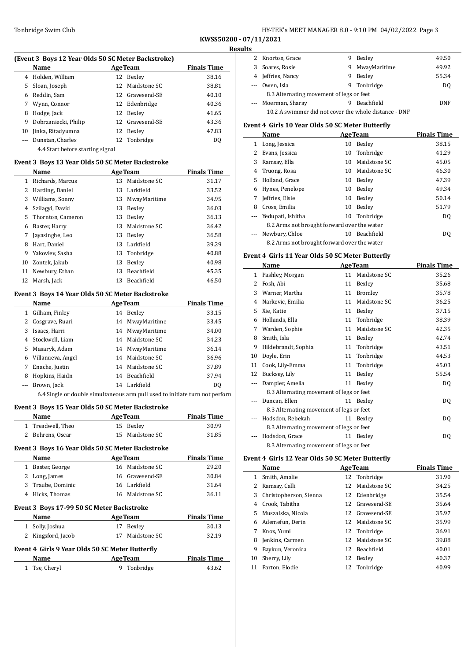### Tonbridge Swim Club **HY-TEK's MEET MANAGER 8.0 - 9:10 PM 04/02/2022** Page 3

**KWSS50200 - 07/11/2021 Results**

 $\overline{\phantom{a}}$ 

 $\overline{\phantom{a}}$ 

|    | (Event 3 Boys 12 Year Olds 50 SC Meter Backstroke) |    |                 |                    |
|----|----------------------------------------------------|----|-----------------|--------------------|
|    | Name                                               |    | <b>AgeTeam</b>  | <b>Finals Time</b> |
| 4  | Holden, William                                    | 12 | Bexley          | 38.16              |
| 5. | Sloan, Joseph                                      |    | 12 Maidstone SC | 38.81              |
| 6  | Reddin, Sam                                        |    | 12 Gravesend-SE | 40.10              |
|    | Wynn, Connor                                       |    | 12 Edenbridge   | 40.36              |
| 8  | Hodge, Jack                                        | 12 | Bexley          | 41.65              |
| 9  | Dobrzaniecki, Philip                               |    | 12 Gravesend-SE | 43.36              |
| 10 | Jinka, Ritadyumna                                  | 12 | Bexley          | 47.83              |
|    | Dunstan, Charles                                   |    | 12 Tonbridge    | DO                 |
|    | 4.4 Start before starting signal                   |    |                 |                    |

### **Event 3 Boys 13 Year Olds 50 SC Meter Backstroke**

|    | Name              |    | <b>AgeTeam</b>    | <b>Finals Time</b> |
|----|-------------------|----|-------------------|--------------------|
| 1  | Richards, Marcus  | 13 | Maidstone SC      | 31.17              |
| 2  | Harding, Daniel   | 13 | Larkfield         | 33.52              |
| 3  | Williams, Sonny   | 13 | MwayMaritime      | 34.95              |
| 4  | Szilagyi, David   | 13 | Bexley            | 36.03              |
| 5  | Thornton, Cameron | 13 | Bexley            | 36.13              |
| 6  | Baster, Harry     | 13 | Maidstone SC      | 36.42              |
| 7  | Javasinghe, Leo   | 13 | Bexley            | 36.58              |
| 8  | Hart, Daniel      | 13 | Larkfield         | 39.29              |
| 9  | Yakovlev, Sasha   |    | 13 Tonbridge      | 40.88              |
| 10 | Zontek, Jakub     | 13 | Bexley            | 40.98              |
| 11 | Newbury, Ethan    | 13 | <b>Beachfield</b> | 45.35              |
| 12 | Marsh, Jack       | 13 | Beachfield        | 46.50              |

### **Event 3 Boys 14 Year Olds 50 SC Meter Backstroke**

|    | Name              |    | <b>AgeTeam</b> | <b>Finals Time</b> |
|----|-------------------|----|----------------|--------------------|
|    | Gilham, Finley    | 14 | Bexley         | 33.15              |
|    | Cosgrave, Ruari   | 14 | MwayMaritime   | 33.45              |
|    | Isaacs, Harri     | 14 | MwayMaritime   | 34.00              |
| 4  | Stockwell, Liam   | 14 | Maidstone SC   | 34.23              |
| 5. | Masaryk, Adam     | 14 | MwayMaritime   | 36.14              |
| 6  | Villanueva, Angel | 14 | Maidstone SC   | 36.96              |
|    | Enache, Justin    | 14 | Maidstone SC   | 37.89              |
| 8  | Hopkins, Haidn    | 14 | Beachfield     | 37.94              |
|    | Brown, Jack       |    | 14 Larkfield   | DO                 |
|    |                   |    |                |                    |

6.4 Single or double simultaneous arm pull used to initiate turn not perforn

### **Event 3 Boys 15 Year Olds 50 SC Meter Backstroke**

| Name<br><b>AgeTeam</b><br>Treadwell, Theo<br>15 Bexley<br>$\mathbf{1}$ | <b>Finals Time</b><br>30.99<br>31.85 |
|------------------------------------------------------------------------|--------------------------------------|
|                                                                        |                                      |
|                                                                        |                                      |
| Maidstone SC<br>Behrens, Oscar<br>15<br>2                              |                                      |
| Event 3 Boys 16 Year Olds 50 SC Meter Backstroke                       |                                      |
| Name<br><b>AgeTeam</b>                                                 | <b>Finals Time</b>                   |
| 16 Maidstone SC<br>Baster, George<br>1                                 | 29.20                                |
| 16 Gravesend-SE<br>Long, James<br>2                                    | 30.84                                |
| Traube, Dominic<br>16 Larkfield<br>3                                   | 31.64                                |
| Hicks, Thomas<br>16 Maidstone SC<br>4                                  | 36.11                                |
| <b>Event 3 Boys 17-99 50 SC Meter Backstroke</b>                       |                                      |
| Name<br><b>AgeTeam</b>                                                 | <b>Finals Time</b>                   |
| Solly, Joshua<br>Bexley<br>17<br>$\mathbf{1}$                          | 30.13                                |
| Kingsford, Jacob<br>Maidstone SC<br>2<br>17                            | 32.19                                |
| Event 4 Girls 9 Year Olds 50 SC Meter Butterfly                        |                                      |
| <b>AgeTeam</b><br>Name                                                 | <b>Finals Time</b>                   |
| Tonbridge<br>Tse, Cheryl<br>9<br>1                                     | 43.62                                |

| เ๖ |                                                       |   |                   |       |
|----|-------------------------------------------------------|---|-------------------|-------|
|    | 2 Knorton, Grace                                      | 9 | Bexley            | 49.50 |
|    | Soares, Rosie                                         | 9 | MwayMaritime      | 49.92 |
| 4  | Jeffries, Nancy                                       | 9 | Bexley            | 55.34 |
|    | --- Owen, Isla                                        | 9 | Tonbridge         | DO.   |
|    | 8.3 Alternating movement of legs or feet              |   |                   |       |
|    | --- Moerman, Sharay                                   | 9 | <b>Beachfield</b> | DNF   |
|    | 10.2 A swimmer did not cover the whole distance - DNF |   |                   |       |

### **Event 4 Girls 10 Year Olds 50 SC Meter Butterfly**

|    | Name                                        |    | <b>AgeTeam</b>    | <b>Finals Time</b> |
|----|---------------------------------------------|----|-------------------|--------------------|
| 1  | Long, Jessica                               | 10 | Bexley            | 38.15              |
| 2  | Evans, Jessica                              | 10 | Tonbridge         | 41.29              |
| 3  | Ramsay, Ella                                | 10 | Maidstone SC      | 45.05              |
| 4  | Truong, Rosa                                | 10 | Maidstone SC      | 46.30              |
| 5. | Holland, Grace                              | 10 | Bexley            | 47.39              |
| 6  | Hynes, Penelope                             | 10 | Bexley            | 49.34              |
| 7  | Jeffries, Elsie                             | 10 | Bexley            | 50.14              |
| 8  | Cross, Emilia                               | 10 | Bexley            | 51.79              |
|    | Yedupati, Ishitha                           | 10 | Tonbridge         | DQ                 |
|    | 8.2 Arms not brought forward over the water |    |                   |                    |
|    | Newbury, Chloe                              | 10 | <b>Beachfield</b> | DO.                |
|    | 8.2 Arms not brought forward over the water |    |                   |                    |

#### **Event 4 Girls 11 Year Olds 50 SC Meter Butterfly**

|    | Name                                     |    | <b>AgeTeam</b> | <b>Finals Time</b> |
|----|------------------------------------------|----|----------------|--------------------|
| 1  | Pashley, Morgan                          | 11 | Maidstone SC   | 35.26              |
| 2  | Fosh, Abi                                | 11 | Bexley         | 35.68              |
| 3  | Warner, Martha                           | 11 | <b>Bromley</b> | 35.78              |
| 4  | Narkevic, Emilia                         | 11 | Maidstone SC   | 36.25              |
| 5  | Xie, Katie                               | 11 | Bexley         | 37.15              |
| 6  | Hollands, Ella                           | 11 | Tonbridge      | 38.39              |
| 7  | Warden, Sophie                           | 11 | Maidstone SC   | 42.35              |
| 8  | Smith, Isla                              | 11 | Bexley         | 42.74              |
| 9  | Hildebrandt, Sophia                      | 11 | Tonbridge      | 43.51              |
| 10 | Doyle, Erin                              | 11 | Tonbridge      | 44.53              |
| 11 | Cook, Lily-Emma                          | 11 | Tonbridge      | 45.03              |
| 12 | Bucksey, Lily                            | 11 | Bexley         | 55.54              |
|    | Dampier, Amelia                          | 11 | Bexley         | DQ                 |
|    | 8.3 Alternating movement of legs or feet |    |                |                    |
|    | Duncan, Ellen                            | 11 | Bexley         | DQ                 |
|    | 8.3 Alternating movement of legs or feet |    |                |                    |
|    | Hodsdon, Rebekah                         | 11 | Bexley         | DQ                 |
|    | 8.3 Alternating movement of legs or feet |    |                |                    |
|    | Hodsdon, Grace                           | 11 | Bexley         | DQ                 |
|    | 8.3 Alternating movement of legs or feet |    |                |                    |

#### **Event 4 Girls 12 Year Olds 50 SC Meter Butterfly**

|    | Name                   | <b>AgeTeam</b>  | <b>Finals Time</b> |
|----|------------------------|-----------------|--------------------|
| 1  | Smith, Amalie          | 12 Tonbridge    | 31.90              |
|    | Ramsay, Calli          | 12 Maidstone SC | 34.25              |
| 3  | Christopherson, Sienna | 12 Edenbridge   | 35.54              |
| 4  | Crook, Tabitha         | 12 Gravesend-SE | 35.64              |
| 5. | Muszalska. Nicola      | 12 Gravesend-SE | 35.97              |
| 6. | Ademefun, Derin        | 12 Maidstone SC | 35.99              |
| 7  | Knox, Yumi             | 12 Tonbridge    | 36.91              |
| 8  | Jenkins, Carmen        | 12 Maidstone SC | 39.88              |
| 9  | Baykun, Veronica       | 12 Beachfield   | 40.01              |
| 10 | Sherry, Lily           | 12 Bexley       | 40.37              |
| 11 | Parton, Elodie         | Tonbridge<br>12 | 40.99              |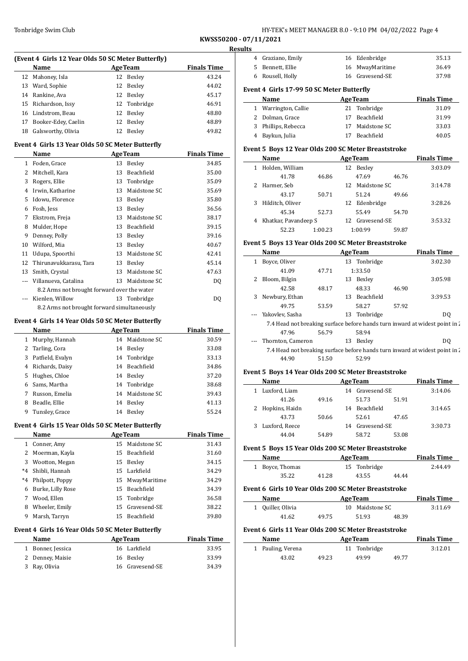### Tonbridge Swim Club **HY-TEK's MEET MANAGER 8.0 - 9:10 PM 04/02/2022** Page 4

**KWSS50200 - 07/11/2021**

|                          | (Event 4 Girls 12 Year Olds 50 SC Meter Butterfly)<br>Name      | <b>AgeTeam</b> |                                   | <b>Finals Time</b>                       |
|--------------------------|-----------------------------------------------------------------|----------------|-----------------------------------|------------------------------------------|
| 12                       | Mahoney, Isla                                                   |                | 12 Bexley                         | 43.24                                    |
|                          | 13 Ward, Sophie                                                 |                | 12 Bexley                         | 44.02                                    |
|                          | 14 Rankine. Ava                                                 |                | 12 Bexley                         | 45.17                                    |
|                          | 15 Richardson, Issy                                             |                | 12 Tonbridge                      | 46.91                                    |
|                          | 16 Lindstrom, Beau                                              |                | 12 Bexley                         | 48.80                                    |
|                          | 17 Booker-Edey, Caelin                                          |                | 12 Bexley                         | 48.89                                    |
|                          | 18 Galsworthy, Olivia                                           |                | 12 Bexley                         | 49.82                                    |
|                          |                                                                 |                |                                   |                                          |
|                          | Event 4 Girls 13 Year Olds 50 SC Meter Butterfly<br><b>Name</b> | <b>AgeTeam</b> |                                   | <b>Finals Time</b>                       |
|                          | 1 Foden, Grace                                                  |                | 13 Bexley                         | 34.85                                    |
| 2                        | Mitchell, Kara                                                  |                | 13 Beachfield                     | 35.00                                    |
| 3                        | Rogers, Ellie                                                   |                | 13 Tonbridge                      | 35.09                                    |
|                          | 4 Irwin, Katharine                                              |                | 13 Maidstone SC                   | 35.69                                    |
| 5.                       | Idowu, Florence                                                 |                | 13 Bexley                         | 35.80                                    |
|                          | 6 Fosh, Jess                                                    |                | 13 Bexley                         | 36.56                                    |
|                          | 7 Ekstrom, Freja                                                |                | 13 Maidstone SC                   | 38.17                                    |
|                          | 8 Mulder, Hope                                                  |                | 13 Beachfield                     | 39.15                                    |
| 9                        | Denney, Polly                                                   |                | 13 Bexley                         | 39.16                                    |
| 10                       | Wilford, Mia                                                    |                | 13 Bexley                         | 40.67                                    |
| 11                       | Udupa, Spoorthi                                                 |                | 13 Maidstone SC                   | 42.41                                    |
| 12                       | Thirunavukkarasu, Tara                                          |                | 13 Bexley                         | 45.14                                    |
|                          | 13 Smith, Crystal                                               |                | 13 Maidstone SC                   | 47.63                                    |
| $\overline{\phantom{a}}$ | Villanueva, Catalina                                            |                | 13 Maidstone SC                   | DQ                                       |
|                          | 8.2 Arms not brought forward over the water                     |                |                                   |                                          |
|                          | Kienlen, Willow                                                 | 13             | Tonbridge                         | DQ                                       |
|                          | 8.2 Arms not brought forward simultaneously                     |                |                                   |                                          |
|                          |                                                                 |                |                                   |                                          |
|                          | Event 4 Girls 14 Year Olds 50 SC Meter Butterfly                |                |                                   |                                          |
|                          | Name                                                            |                | <b>AgeTeam</b><br>14 Maidstone SC | <b>Finals Time</b><br>30.59              |
|                          | 1 Murphy, Hannah<br>2 Tarling, Cora                             |                |                                   | 33.08                                    |
| 3                        | Patfield, Evalyn                                                |                | 14 Bexley<br>14 Tonbridge         | 33.13                                    |
|                          | 4 Richards, Daisy                                               |                | 14 Beachfield                     | 34.86                                    |
|                          | Hughes, Chloe                                                   |                |                                   |                                          |
| 5                        | Sams. Martha                                                    |                | 14 Bexley<br>14 Tonbridge         | 37.20<br>38.68                           |
|                          |                                                                 |                | Maidstone SC                      |                                          |
| 6                        |                                                                 |                |                                   |                                          |
| 7                        | Russon, Emelia                                                  | 14             |                                   | 39.43                                    |
| 8                        | Beadle, Ellie                                                   |                | 14 Bexley                         | 41.13                                    |
|                          | Tunsley, Grace                                                  |                | 14 Bexley                         | 55.24                                    |
|                          | Event 4 Girls 15 Year Olds 50 SC Meter Butterfly                |                |                                   |                                          |
|                          | <b>Name</b>                                                     |                | <b>AgeTeam</b>                    |                                          |
|                          | 1 Conner, Amy                                                   |                | 15 Maidstone SC                   | 31.43                                    |
| 9                        | 2 Moerman, Kayla                                                |                | 15 Beachfield                     | 31.60                                    |
|                          | 3 Wootton, Megan                                                |                | 15 Bexley                         | 34.15                                    |
|                          | *4 Shibli, Hannah                                               |                | 15 Larkfield                      | 34.29                                    |
|                          | *4 Philpott, Poppy                                              |                | 15 MwayMaritime                   | 34.29                                    |
|                          | 6 Burke, Lilly Rose                                             |                | 15 Beachfield                     | 34.39                                    |
|                          | 7 Wood, Ellen                                                   |                | 15 Tonbridge                      | 36.58                                    |
|                          | 8 Wheeler, Emily                                                |                | 15 Gravesend-SE                   | 38.22                                    |
|                          | 9 Marsh, Tarryn                                                 |                | 15 Beachfield                     | 39.80                                    |
|                          | Event 4 Girls 16 Year Olds 50 SC Meter Butterfly                |                |                                   |                                          |
|                          | <b>Name</b>                                                     |                | <b>AgeTeam</b>                    | <b>Finals Time</b><br><b>Finals Time</b> |
|                          | 1 Bonner, Jessica                                               |                | 16 Larkfield                      | 33.95                                    |
|                          | 2 Denney, Maisie<br>Ray, Olivia                                 |                | 16 Bexley                         | 33.99                                    |

| 4 Graziano, Emily                                                           |                           | 16 Edenbridge                                   |       | 35.13                                                                                                                                                                                                                              |
|-----------------------------------------------------------------------------|---------------------------|-------------------------------------------------|-------|------------------------------------------------------------------------------------------------------------------------------------------------------------------------------------------------------------------------------------|
| 5 Bennett, Ellie                                                            |                           | 16 MwayMaritime                                 |       | 36.49                                                                                                                                                                                                                              |
| 6 Rousell, Holly                                                            |                           | 16 Gravesend-SE                                 |       | 37.98                                                                                                                                                                                                                              |
| Event 4 Girls 17-99 50 SC Meter Butterfly                                   |                           |                                                 |       |                                                                                                                                                                                                                                    |
| Name                                                                        |                           |                                                 |       | <b>Example 2 Age Team Primary Primary Primary Primary Primary Primary Primary Primary Primary Primary Primary Primary Primary Primary Primary Primary Primary Primary Primary Primary Primary Primary Primary Primary Primary </b> |
| 1 Warrington, Callie                                                        |                           | 21 Tonbridge                                    |       | 31.09                                                                                                                                                                                                                              |
| 2 Dolman, Grace                                                             |                           | 17 Beachfield                                   |       | 31.99                                                                                                                                                                                                                              |
| 3 Phillips, Rebecca                                                         |                           | 17 Maidstone SC                                 |       | 33.03                                                                                                                                                                                                                              |
| 4 Baykun, Julia                                                             |                           | 17 Beachfield                                   |       | 40.05                                                                                                                                                                                                                              |
| Event 5 Boys 12 Year Olds 200 SC Meter Breaststroke                         |                           |                                                 |       |                                                                                                                                                                                                                                    |
| Name                                                                        |                           | <u>AgeTeam</u> AgeTeam                          |       | <b>Finals Time</b>                                                                                                                                                                                                                 |
| 1 Holden, William                                                           |                           | 12 Bexley                                       |       | 3:03.09                                                                                                                                                                                                                            |
| 41.78                                                                       | 46.86                     | 47.69                                           | 46.76 |                                                                                                                                                                                                                                    |
| 2 Harmer, Seb                                                               |                           | 12 Maidstone SC                                 |       | 3:14.78                                                                                                                                                                                                                            |
| 43.17                                                                       | 50.71                     | 51.24                                           | 49.66 |                                                                                                                                                                                                                                    |
| 3 Hilditch, Oliver                                                          |                           | 12 Edenbridge                                   |       | 3:28.26                                                                                                                                                                                                                            |
| 45.34                                                                       | 52.73                     | 55.49                                           | 54.70 |                                                                                                                                                                                                                                    |
| 4 Khatkar, Pavandeep S                                                      |                           | 12 Gravesend-SE                                 |       | 3:53.32                                                                                                                                                                                                                            |
| 52.23                                                                       | 1:00.23                   | 1:00.99                                         | 59.87 |                                                                                                                                                                                                                                    |
| Event 5 Boys 13 Year Olds 200 SC Meter Breaststroke                         |                           |                                                 |       |                                                                                                                                                                                                                                    |
| Name                                                                        |                           | AgeTeam                                         |       | <b>Finals Time</b>                                                                                                                                                                                                                 |
| 1 Boyce, Oliver                                                             |                           | 13 Tonbridge                                    |       | 3:02.30                                                                                                                                                                                                                            |
| 41.09                                                                       | 47.71                     | 1:33.50                                         |       |                                                                                                                                                                                                                                    |
| 2 Bloom, Bilgin                                                             |                           | 13 Bexley                                       |       | 3:05.98                                                                                                                                                                                                                            |
| 42.58                                                                       | 48.17                     | 48.33                                           | 46.90 |                                                                                                                                                                                                                                    |
| 3 Newbury, Ethan                                                            |                           | 13 Beachfield                                   |       | 3:39.53                                                                                                                                                                                                                            |
| 49.75                                                                       | 53.59                     | 58.27                                           | 57.92 |                                                                                                                                                                                                                                    |
| --- Yakovlev, Sasha                                                         |                           | 13 Tonbridge                                    |       | DQ                                                                                                                                                                                                                                 |
| 7.4 Head not breaking surface before hands turn inward at widest point in 2 |                           |                                                 |       |                                                                                                                                                                                                                                    |
| 47.96                                                                       | 56.79                     | 58.94                                           |       |                                                                                                                                                                                                                                    |
| Thornton, Cameron                                                           |                           | 13 Bexley                                       |       | D <sub>0</sub>                                                                                                                                                                                                                     |
| 7.4 Head not breaking surface before hands turn inward at widest point in 2 |                           |                                                 |       |                                                                                                                                                                                                                                    |
| 44.90                                                                       | 51.50                     | 52.99                                           |       |                                                                                                                                                                                                                                    |
| Event 5 Boys 14 Year Olds 200 SC Meter Breaststroke                         |                           |                                                 |       |                                                                                                                                                                                                                                    |
| Name                                                                        | <b>Example 2</b> Age Team |                                                 |       | <b>Finals Time</b>                                                                                                                                                                                                                 |
| 1 Luxford, Liam                                                             |                           | 14 Gravesend-SE                                 |       | 3:14.06                                                                                                                                                                                                                            |
| 41.26                                                                       | 49.16                     | 51.73                                           | 51.91 |                                                                                                                                                                                                                                    |
|                                                                             |                           | 14 Beachfield                                   |       | 3:14.65                                                                                                                                                                                                                            |
| 2 Hopkins, Haidn                                                            |                           |                                                 |       |                                                                                                                                                                                                                                    |
| 43.73                                                                       | 50.66                     | 52.61                                           | 47.65 |                                                                                                                                                                                                                                    |
| 3 Luxford, Reece                                                            |                           | 14 Gravesend-SE                                 |       | 3:30.73                                                                                                                                                                                                                            |
| 44.04                                                                       | 54.89                     | 58.72                                           | 53.08 |                                                                                                                                                                                                                                    |
| Event 5 Boys 15 Year Olds 200 SC Meter Breaststroke                         |                           |                                                 |       |                                                                                                                                                                                                                                    |
| Name                                                                        |                           | <b>AgeTeam</b>                                  |       | <b>Finals Time</b>                                                                                                                                                                                                                 |
| 1 Boyce, Thomas                                                             |                           | 15 Tonbridge                                    |       | 2:44.49                                                                                                                                                                                                                            |
| 35.22                                                                       | 41.28                     | 43.55                                           | 44.44 |                                                                                                                                                                                                                                    |
|                                                                             |                           |                                                 |       |                                                                                                                                                                                                                                    |
| Event 6 Girls 10 Year Olds 200 SC Meter Breaststroke                        |                           |                                                 |       |                                                                                                                                                                                                                                    |
| Name<br>1 Quiller, Olivia                                                   |                           | <b>Example 2018 Age Team</b><br>10 Maidstone SC |       | <b>Finals Time</b><br>3:11.69                                                                                                                                                                                                      |

### **Event 6 Girls 11 Year Olds 200 SC Meter Breaststroke**

| Name              |       | <b>AgeTeam</b> |       | <b>Finals Time</b> |
|-------------------|-------|----------------|-------|--------------------|
| 1 Pauling, Verena |       | 11 Tonbridge   |       | 3:12.01            |
| 43.02             | 49.23 | 49.99          | 49.77 |                    |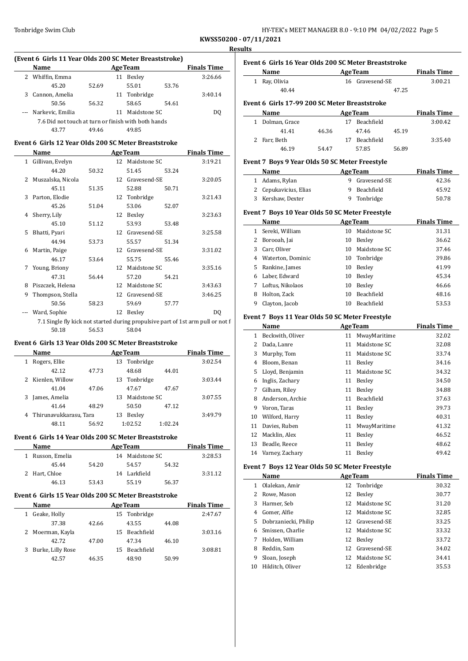| HY-TEK's MEET MANAGER 8.0 - 9:10 PM 04/02/2022 Page 5 |
|-------------------------------------------------------|
|-------------------------------------------------------|

 $\overline{a}$ 

|                                                     | Name             |       | <b>Finals Time</b> |              |       |         |  |
|-----------------------------------------------------|------------------|-------|--------------------|--------------|-------|---------|--|
| 2                                                   | Whiffin, Emma    |       | 11                 | Bexley       |       | 3:26.66 |  |
|                                                     | 45.20            | 52.69 |                    | 55.01        | 53.76 |         |  |
| 3                                                   | Cannon, Amelia   |       |                    | 11 Tonbridge |       | 3:40.14 |  |
|                                                     | 50.56            | 56.32 |                    | 58.65        | 54.61 |         |  |
|                                                     | Narkevic, Emilia |       | 11                 | Maidstone SC |       | DO      |  |
| 7.6 Did not touch at turn or finish with both hands |                  |       |                    |              |       |         |  |
|                                                     | 43.77            | 49.46 |                    | 49.85        |       |         |  |

### **Event 6 Girls 12 Year Olds 200 SC Meter Breaststroke**

|   | Name               | <b>AgeTeam</b> |    |                 |       | <b>Finals Time</b> |
|---|--------------------|----------------|----|-----------------|-------|--------------------|
|   | 1 Gillivan, Evelyn |                |    | 12 Maidstone SC |       | 3:19.21            |
|   | 44.20              | 50.32          |    | 51.45           | 53.24 |                    |
| 2 | Muszalska, Nicola  |                | 12 | Gravesend-SE    |       | 3:20.05            |
|   | 45.11              | 51.35          |    | 52.88           | 50.71 |                    |
| 3 | Parton, Elodie     |                | 12 | Tonbridge       |       | 3:21.43            |
|   | 45.26              | 51.04          |    | 53.06           | 52.07 |                    |
| 4 | Sherry, Lily       |                | 12 | Bexley          |       | 3:23.63            |
|   | 45.10              | 51.12          |    | 53.93           | 53.48 |                    |
| 5 | Bhatti, Pyari      |                | 12 | Gravesend-SE    |       | 3:25.58            |
|   | 44.94              | 53.73          |    | 55.57           | 51.34 |                    |
| 6 | Martin, Paige      |                | 12 | Gravesend-SE    |       | 3:31.02            |
|   | 46.17              | 53.64          |    | 55.75           | 55.46 |                    |
| 7 | Young, Briony      |                | 12 | Maidstone SC    |       | 3:35.16            |
|   | 47.31              | 56.44          |    | 57.20           | 54.21 |                    |
| 8 | Piszczek, Helena   |                | 12 | Maidstone SC    |       | 3:43.63            |
| 9 | Thompson, Stella   |                | 12 | Gravesend-SE    |       | 3:46.25            |
|   | 50.56              | 58.23          |    | 59.69           | 57.77 |                    |
|   | Ward, Sophie       |                | 12 | Bexley          |       | DQ                 |
|   |                    |                |    |                 |       |                    |

7.1 Single fly kick not started during propulsive part of 1st arm pull or not follow 50.18  $\overline{50}$ 50.18 56.53 58.04

#### **Event 6 Girls 13 Year Olds 200 SC Meter Breaststroke**

|   | Name                   |       | <b>Finals Time</b> |              |         |         |
|---|------------------------|-------|--------------------|--------------|---------|---------|
|   | Rogers, Ellie          |       |                    | 13 Tonbridge |         | 3:02.54 |
|   | 42.12                  | 47.73 |                    | 48.68        | 44.01   |         |
| 2 | Kienlen, Willow        |       |                    | 13 Tonbridge |         | 3:03.44 |
|   | 41.04                  | 47.06 |                    | 47.67        | 47.67   |         |
| 3 | James, Amelia          |       | 13                 | Maidstone SC |         | 3:07.55 |
|   | 41.64                  | 48.29 |                    | 50.50        | 47.12   |         |
| 4 | Thirunavukkarasu, Tara |       | 13                 | Bexley       |         | 3:49.79 |
|   | 48.11                  | 56.92 |                    | 1:02.52      | 1:02.24 |         |

### **Event 6 Girls 14 Year Olds 200 SC Meter Breaststroke**

| <b>Name</b>      | <b>AgeTeam</b> |    |                 | <b>Finals Time</b> |         |
|------------------|----------------|----|-----------------|--------------------|---------|
| 1 Russon, Emelia |                |    | 14 Maidstone SC |                    | 3:28.53 |
| 45.44            | 54.20          |    | 54.57           | 54.32              |         |
| 2 Hart, Chloe    |                | 14 | Larkfield       |                    | 3:31.12 |
| 46.13            | 53.43          |    | 55.19           | 56.37              |         |

#### **Event 6 Girls 15 Year Olds 200 SC Meter Breaststroke**

| Name              | <b>AgeTeam</b> |    |               |       | <b>Finals Time</b> |
|-------------------|----------------|----|---------------|-------|--------------------|
| Geake, Holly      |                |    | 15 Tonbridge  |       | 2:47.67            |
| 37.38             | 42.66          |    | 43.55         | 44.08 |                    |
| Moerman, Kayla    |                |    | 15 Beachfield |       | 3:03.16            |
| 42.72             | 47.00          |    | 47.34         | 46.10 |                    |
| Burke, Lilly Rose |                | 15 | Beachfield    |       | 3:08.81            |
| 42.57             | 46.35          |    | 48.90         | 50.99 |                    |

| Event 6 Girls 16 Year Olds 200 SC Meter Breaststroke |                                                |       |    |                   |       |                    |  |  |
|------------------------------------------------------|------------------------------------------------|-------|----|-------------------|-------|--------------------|--|--|
|                                                      | <b>Name</b>                                    |       |    | <b>AgeTeam</b>    |       | <b>Finals Time</b> |  |  |
| 1                                                    | Ray, Olivia                                    |       |    | 16 Gravesend-SE   |       | 3:00.21            |  |  |
|                                                      | 40.44                                          |       |    |                   | 47.25 |                    |  |  |
| Event 6 Girls 17-99 200 SC Meter Breaststroke        |                                                |       |    |                   |       |                    |  |  |
|                                                      | <b>Name</b>                                    |       |    | <b>AgeTeam</b>    |       | <b>Finals Time</b> |  |  |
|                                                      | Dolman, Grace                                  |       | 17 | <b>Beachfield</b> |       | 3:00.42            |  |  |
|                                                      | 41.41                                          | 46.36 |    | 47.46             | 45.19 |                    |  |  |
| 2                                                    | Farr, Beth                                     |       | 17 | <b>Beachfield</b> |       | 3:35.40            |  |  |
|                                                      | 46.19                                          | 54.47 |    | 57.85             | 56.89 |                    |  |  |
|                                                      | Event 7 Boys 9 Year Olds 50 SC Meter Freestyle |       |    |                   |       |                    |  |  |
|                                                      |                                                |       |    |                   |       |                    |  |  |

#### **Name Age Team Finals Time** 1 Adams, Rylan 9 Gravesend-SE 42.36 2 Cepukavicius, Elias 9 Beachfield 45.92 3 Kershaw, Dexter 9 Tonbridge 50.78

### **Event 7 Boys 10 Year Olds 50 SC Meter Freestyle**

|    | Name              |    | <b>AgeTeam</b>    | <b>Finals Time</b> |
|----|-------------------|----|-------------------|--------------------|
|    | Sereki, William   | 10 | Maidstone SC      | 31.31              |
|    | Borooah, Jai      | 10 | Bexley            | 36.62              |
| 3. | Carr, Oliver      | 10 | Maidstone SC      | 37.46              |
| 4  | Waterton, Dominic |    | 10 Tonbridge      | 39.86              |
| 5. | Rankine, James    | 10 | Bexley            | 41.99              |
| 6  | Laber, Edward     | 10 | Bexley            | 45.34              |
|    | Loftus, Nikolaos  | 10 | Bexley            | 46.66              |
| 8  | Holton, Zack      | 10 | <b>Beachfield</b> | 48.16              |
| 9  | Clayton, Jacob    | 10 | <b>Beachfield</b> | 53.53              |

#### **Event 7 Boys 11 Year Olds 50 SC Meter Freestyle**

|    | Name               |    | <b>AgeTeam</b> | <b>Finals Time</b> |
|----|--------------------|----|----------------|--------------------|
| 1  | Beckwith, Oliver   | 11 | MwayMaritime   | 32.02              |
| 2  | Dada, Lanre        | 11 | Maidstone SC   | 32.08              |
| 3  | Murphy, Tom        | 11 | Maidstone SC   | 33.74              |
| 4  | Bloom, Benan       | 11 | Bexley         | 34.16              |
| 5  | Lloyd, Benjamin    | 11 | Maidstone SC   | 34.32              |
| 6  | Inglis, Zachary    | 11 | Bexley         | 34.50              |
| 7  | Gilham, Riley      | 11 | Bexley         | 34.88              |
| 8  | Anderson, Archie   | 11 | Beachfield     | 37.63              |
| 9  | Voron, Taras       | 11 | Bexley         | 39.73              |
| 10 | Wilford, Harry     | 11 | Bexley         | 40.31              |
| 11 | Davies, Ruben      | 11 | MwayMaritime   | 41.32              |
| 12 | Macklin, Alex      | 11 | Bexley         | 46.52              |
| 13 | Beadle, Reece      | 11 | Bexley         | 48.62              |
|    | 14 Varney, Zachary | 11 | Bexley         | 49.42              |

#### **Event 7 Boys 12 Year Olds 50 SC Meter Freestyle**

|    | Name                 |    | <b>AgeTeam</b>  | <b>Finals Time</b> |
|----|----------------------|----|-----------------|--------------------|
| 1  | Olalekan, Amir       |    | 12 Tonbridge    | 30.32              |
|    | Rowe, Mason          | 12 | Bexley          | 30.77              |
| 3  | Harmer, Seb          |    | 12 Maidstone SC | 31.20              |
| 4  | Gomer, Alfie         |    | 12 Maidstone SC | 32.85              |
| 5. | Dobrzaniecki, Philip |    | 12 Gravesend-SE | 33.25              |
| 6. | Smissen, Charlie     |    | 12 Maidstone SC | 33.32              |
|    | Holden, William      | 12 | Bexley          | 33.72              |
| 8  | Reddin, Sam          |    | 12 Gravesend-SE | 34.02              |
| 9  | Sloan, Joseph        | 12 | Maidstone SC    | 34.41              |
| 10 | Hilditch, Oliver     | 12 | Edenbridge      | 35.53              |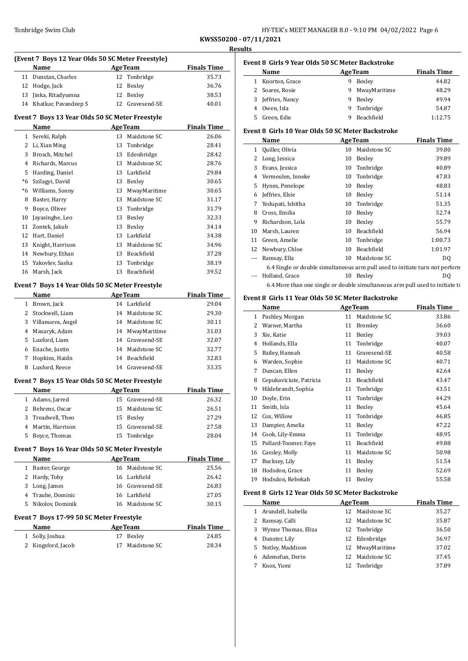| HY-TEK's MEET MANAGER 8.0 - 9:10 PM 04/02/2022 Page 6 |  |
|-------------------------------------------------------|--|
|-------------------------------------------------------|--|

|              | (Event 7 Boys 12 Year Olds 50 SC Meter Freestyle) |                |                 |                    |  |
|--------------|---------------------------------------------------|----------------|-----------------|--------------------|--|
|              | Name                                              | <b>AgeTeam</b> |                 | <b>Finals Time</b> |  |
|              | 11 Dunstan, Charles                               | 12             | Tonbridge       | 35.73              |  |
|              | 12 Hodge, Jack                                    | 12             | Bexley          | 36.76              |  |
|              | 13 Jinka, Ritadyumna                              | 12             | Bexley          | 38.53              |  |
|              | 14 Khatkar, Pavandeep S                           | 12             | Gravesend-SE    | 40.01              |  |
|              | Event 7 Boys 13 Year Olds 50 SC Meter Freestyle   |                |                 |                    |  |
|              | Name                                              |                | <b>AgeTeam</b>  | <b>Finals Time</b> |  |
|              | 1 Sereki, Ralph                                   |                | 13 Maidstone SC | 26.06              |  |
|              | 2 Li, Xian Ming                                   |                | 13 Tonbridge    | 28.41              |  |
|              | 3 Brosch. Mitchel                                 |                | 13 Edenbridge   | 28.42              |  |
|              | 4 Richards, Marcus                                |                | 13 Maidstone SC | 28.76              |  |
|              | 5 Harding, Daniel                                 |                | 13 Larkfield    | 29.84              |  |
|              | *6 Szilagyi, David                                | 13             | Bexley          | 30.65              |  |
|              | *6 Williams, Sonny                                | 13             | MwayMaritime    | 30.65              |  |
|              | 8 Baster, Harry                                   | 13             | Maidstone SC    | 31.17              |  |
|              | 9 Boyce, Oliver                                   | 13             | Tonbridge       | 31.79              |  |
|              | 10 Jayasinghe, Leo                                | 13             | Bexley          | 32.33              |  |
| 11           | Zontek, Jakub                                     | 13             | Bexley          | 34.14              |  |
|              | 12 Hart. Daniel                                   | 13             | Larkfield       | 34.38              |  |
|              | 13 Knight, Harrison                               | 13             | Maidstone SC    | 34.96              |  |
|              | 14 Newbury, Ethan                                 |                | 13 Beachfield   | 37.28              |  |
|              | 15 Yakovlev, Sasha                                | 13             | Tonbridge       | 38.19              |  |
|              | 16 Marsh, Jack                                    | 13             | Beachfield      | 39.52              |  |
|              | Event 7 Boys 14 Year Olds 50 SC Meter Freestyle   |                |                 |                    |  |
|              | Name                                              |                | <b>AgeTeam</b>  | <b>Finals Time</b> |  |
|              | 1 Brown, Jack                                     |                | 14 Larkfield    | 29.04              |  |
|              | 2 Stockwell, Liam                                 |                | 14 Maidstone SC | 29.30              |  |
|              | 3 Villanueva, Angel                               |                | 14 Maidstone SC | 30.11              |  |
|              | 4 Masaryk, Adam                                   |                | 14 MwayMaritime | 31.03              |  |
|              | 5 Luxford, Liam                                   |                | 14 Gravesend-SE | 32.07              |  |
|              | 6 Enache, Justin                                  |                | 14 Maidstone SC | 32.77              |  |
|              | 7 Hopkins, Haidn                                  |                | 14 Beachfield   | 32.83              |  |
| 8            | Luxford, Reece                                    |                | 14 Gravesend-SE | 33.35              |  |
|              | Event 7 Boys 15 Year Olds 50 SC Meter Freestyle   |                |                 |                    |  |
|              | Name                                              |                | <b>AgeTeam</b>  | <b>Finals Time</b> |  |
|              | 1 Adams, Jarred                                   |                | 15 Gravesend-SE | 26.32              |  |
|              | 2 Behrens, Oscar                                  |                | 15 Maidstone SC | 26.51              |  |
| 3            | Treadwell, Theo                                   | 15             | Bexley          | 27.29              |  |
|              | 4 Martin, Harrison                                | 15             | Gravesend-SE    | 27.58              |  |
|              | 5 Boyce, Thomas                                   | 15             | Tonbridge       | 28.04              |  |
|              |                                                   |                |                 |                    |  |
|              | Event 7 Boys 16 Year Olds 50 SC Meter Freestyle   |                |                 |                    |  |
|              | <b>Name</b>                                       |                | <b>AgeTeam</b>  | <b>Finals Time</b> |  |
| $\mathbf{1}$ | Baster, George                                    | 16             | Maidstone SC    | 25.56              |  |
|              | 2 Hardy, Toby                                     |                | 16 Larkfield    | 26.42              |  |
|              | 3 Long, James                                     |                | 16 Gravesend-SE | 26.83              |  |
|              | 4 Traube, Dominic                                 |                | 16 Larkfield    | 27.05              |  |
|              | 5 Nikolov, Dominik                                |                | 16 Maidstone SC | 30.15              |  |
|              | Event 7 Boys 17-99 50 SC Meter Freestyle          |                |                 |                    |  |
|              | Name                                              |                | <b>AgeTeam</b>  | <b>Finals Time</b> |  |
|              |                                                   |                |                 |                    |  |
|              | 1 Solly, Joshua                                   |                | 17 Bexley       | 24.85              |  |

|   | Event 8 Girls 9 Year Olds 50 SC Meter Backstroke |   |                   |                    |  |  |  |
|---|--------------------------------------------------|---|-------------------|--------------------|--|--|--|
|   | Name                                             |   | <b>AgeTeam</b>    | <b>Finals Time</b> |  |  |  |
|   | Knorton, Grace                                   | 9 | Bexley            | 44.82              |  |  |  |
|   | 2 Soares, Rosie                                  | 9 | MwayMaritime      | 48.29              |  |  |  |
| 3 | Jeffries, Nancy                                  | 9 | Bexley            | 49.94              |  |  |  |
| 4 | Owen, Isla                                       | 9 | Tonbridge         | 54.87              |  |  |  |
|   | Green, Edie                                      | q | <b>Beachfield</b> | 1:12.75            |  |  |  |

### **Event 8 Girls 10 Year Olds 50 SC Meter Backstroke**

|              | Name                                                                         |    | <b>AgeTeam</b> | <b>Finals Time</b> |
|--------------|------------------------------------------------------------------------------|----|----------------|--------------------|
| $\mathbf{1}$ | Quiller, Olivia                                                              | 10 | Maidstone SC   | 39.80              |
| 2            | Long, Jessica                                                                | 10 | Bexley         | 39.89              |
| 3            | Evans, Jessica                                                               | 10 | Tonbridge      | 40.89              |
| 4            | Vermeulen, Inneke                                                            | 10 | Tonbridge      | 47.83              |
| 5            | Hynes, Penelope                                                              | 10 | Bexley         | 48.83              |
| 6            | Jeffries, Elsie                                                              | 10 | Bexley         | 51.14              |
| 7            | Yedupati, Ishitha                                                            | 10 | Tonbridge      | 51.35              |
| 8            | Cross, Emilia                                                                | 10 | Bexley         | 52.74              |
| 9            | Richardson, Lola                                                             | 10 | Bexley         | 55.79              |
| 10           | Marsh, Lauren                                                                | 10 | Beachfield     | 56.94              |
| 11           | Green, Amelie                                                                | 10 | Tonbridge      | 1:00.73            |
| 12           | Newbury, Chloe                                                               | 10 | Beachfield     | 1:01.97            |
|              | Ramsay, Ella                                                                 | 10 | Maidstone SC   | DQ                 |
|              | 6.4 Single or double simultaneous arm pull used to initiate turn not perform |    |                |                    |
|              | Holland, Grace                                                               | 10 | Bexley         | DO.                |
|              | 6.4 More than one single or double simultaneous arm pull used to initiate to |    |                |                    |

### **Event 8 Girls 11 Year Olds 50 SC Meter Backstroke**

|    | Name                    |    | <b>AgeTeam</b> | <b>Finals Time</b> |
|----|-------------------------|----|----------------|--------------------|
| 1  | Pashley, Morgan         | 11 | Maidstone SC   | 33.86              |
| 2  | Warner, Martha          | 11 | <b>Bromley</b> | 36.60              |
| 3  | Xie, Katie              | 11 | Bexley         | 39.03              |
| 4  | Hollands, Ella          | 11 | Tonbridge      | 40.07              |
| 5  | Bailey, Hannah          | 11 | Gravesend-SE   | 40.58              |
| 6  | Warden, Sophie          | 11 | Maidstone SC   | 40.71              |
| 7  | Duncan, Ellen           | 11 | Bexley         | 42.64              |
| 8  | Cepukaviciute, Patricia | 11 | Beachfield     | 43.47              |
| 9  | Hildebrandt, Sophia     | 11 | Tonbridge      | 43.51              |
| 10 | Doyle, Erin             | 11 | Tonbridge      | 44.29              |
| 11 | Smith, Isla             | 11 | Bexley         | 45.64              |
| 12 | Cox, Willow             | 11 | Tonbridge      | 46.85              |
| 13 | Dampier, Amelia         | 11 | Bexley         | 47.22              |
| 14 | Cook, Lily-Emma         | 11 | Tonbridge      | 48.95              |
| 15 | Pollard-Toomer, Faye    | 11 | Beachfield     | 49.88              |
| 16 | Cassley, Molly          | 11 | Maidstone SC   | 50.98              |
| 17 | Bucksey, Lily           | 11 | Bexley         | 51.54              |
| 18 | Hodsdon, Grace          | 11 | Bexley         | 52.69              |
| 19 | Hodsdon, Rebekah        | 11 | Bexley         | 55.58              |
|    |                         |    |                |                    |

### **Event 8 Girls 12 Year Olds 50 SC Meter Backstroke**

|   | Name                  |    | <b>AgeTeam</b>  | <b>Finals Time</b> |
|---|-----------------------|----|-----------------|--------------------|
|   | 1 Arundell, Isabella  |    | 12 Maidstone SC | 35.27              |
|   | 2 Ramsay, Calli       |    | 12 Maidstone SC | 35.87              |
|   | 3 Wynne Thomas, Eliza |    | 12 Tonbridge    | 36.50              |
| 4 | Dunster, Lily         |    | 12 Edenbridge   | 36.97              |
|   | 5 Notley, Maddison    |    | 12 MwayMaritime | 37.02              |
|   | 6 Ademefun, Derin     |    | 12 Maidstone SC | 37.45              |
|   | Knox, Yumi            | 12 | Tonbridge       | 37.89              |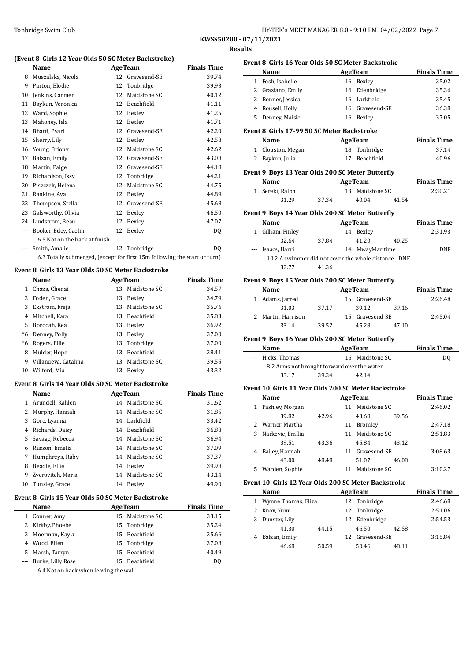| HY-TEK's MEET MANAGER 8.0 - 9:10 PM 04/02/2022 Page 7 |  |  |
|-------------------------------------------------------|--|--|
|                                                       |  |  |

 $\overline{\phantom{0}}$ 

### **(Event 8 Girls 12 Year Olds 50 SC Meter Backstroke)**

|     | $\frac{1}{2}$ and $\frac{1}{2}$ item only 50 by Field Buckstrone.         |    |                |                    |  |  |  |  |
|-----|---------------------------------------------------------------------------|----|----------------|--------------------|--|--|--|--|
|     | Name                                                                      |    | <b>AgeTeam</b> | <b>Finals Time</b> |  |  |  |  |
| 8   | Muszalska, Nicola                                                         | 12 | Gravesend-SE   | 39.74              |  |  |  |  |
| 9   | Parton, Elodie                                                            | 12 | Tonbridge      | 39.93              |  |  |  |  |
| 10  | Jenkins, Carmen                                                           | 12 | Maidstone SC   | 40.12              |  |  |  |  |
| 11  | Baykun, Veronica                                                          | 12 | Beachfield     | 41.11              |  |  |  |  |
| 12  | Ward, Sophie                                                              | 12 | Bexley         | 41.25              |  |  |  |  |
| 13  | Mahoney, Isla                                                             | 12 | Bexley         | 41.71              |  |  |  |  |
| 14  | Bhatti, Pyari                                                             | 12 | Gravesend-SE   | 42.20              |  |  |  |  |
| 15  | Sherry, Lily                                                              | 12 | Bexley         | 42.58              |  |  |  |  |
| 16  | Young, Briony                                                             | 12 | Maidstone SC   | 42.62              |  |  |  |  |
| 17  | Balzan, Emily                                                             | 12 | Gravesend-SE   | 43.08              |  |  |  |  |
| 18  | Martin, Paige                                                             | 12 | Gravesend-SE   | 44.18              |  |  |  |  |
| 19  | Richardson, Issy                                                          | 12 | Tonbridge      | 44.21              |  |  |  |  |
| 20  | Piszczek, Helena                                                          | 12 | Maidstone SC   | 44.75              |  |  |  |  |
| 21  | Rankine, Ava                                                              | 12 | Bexley         | 44.89              |  |  |  |  |
| 22  | Thompson, Stella                                                          | 12 | Gravesend-SE   | 45.68              |  |  |  |  |
| 23  | Galsworthy, Olivia                                                        | 12 | Bexley         | 46.50              |  |  |  |  |
| 24  | Lindstrom, Beau                                                           | 12 | Bexley         | 47.07              |  |  |  |  |
| --- | Booker-Edey, Caelin                                                       | 12 | Bexley         | DQ                 |  |  |  |  |
|     | 6.5 Not on the back at finish                                             |    |                |                    |  |  |  |  |
|     | Smith, Amalie                                                             | 12 | Tonbridge      | D <sub>0</sub>     |  |  |  |  |
|     | 6.3 Totally submerged, (except for first 15m following the start or turn) |    |                |                    |  |  |  |  |

#### **Event 8 Girls 13 Year Olds 50 SC Meter Backstroke**

|    | Name                 |    | <b>AgeTeam</b> | <b>Finals Time</b> |
|----|----------------------|----|----------------|--------------------|
|    | Chaza, Chenai        | 13 | Maidstone SC   | 34.57              |
|    | Foden, Grace         | 13 | Bexley         | 34.79              |
| 3  | Ekstrom, Freja       | 13 | Maidstone SC   | 35.76              |
| 4  | Mitchell, Kara       | 13 | Beachfield     | 35.83              |
| 5. | Borooah, Rea         | 13 | Bexley         | 36.92              |
| *6 | Denney, Polly        | 13 | Bexley         | 37.00              |
| *6 | Rogers, Ellie        |    | 13 Tonbridge   | 37.00              |
| 8  | Mulder, Hope         | 13 | Beachfield     | 38.41              |
| 9  | Villanueva, Catalina | 13 | Maidstone SC   | 39.55              |
| 10 | Wilford, Mia         | 13 | Bexley         | 43.32              |

#### **Event 8 Girls 14 Year Olds 50 SC Meter Backstroke**

|    | Name              | <b>AgeTeam</b> | <b>Finals Time</b> |       |
|----|-------------------|----------------|--------------------|-------|
| 1  | Arundell, Kahlen  | 14             | Maidstone SC       | 31.62 |
|    | 2 Murphy, Hannah  | 14             | Maidstone SC       | 31.85 |
| 3  | Gore, Lyanna      | 14             | Larkfield          | 33.42 |
| 4  | Richards, Daisy   | 14             | Beachfield         | 36.88 |
| 5  | Savage, Rebecca   | 14             | Maidstone SC       | 36.94 |
| 6  | Russon, Emelia    | 14             | Maidstone SC       | 37.09 |
| 7  | Humphreys, Ruby   | 14             | Maidstone SC       | 37.37 |
| 8  | Beadle, Ellie     | 14             | Bexley             | 39.98 |
| 9  | Zverovitch, Maria | 14             | Maidstone SC       | 43.14 |
| 10 | Tunsley, Grace    | 14             | Bexley             | 49.90 |

### **Event 8 Girls 15 Year Olds 50 SC Meter Backstroke**

|   | Name                                  | <b>AgeTeam</b> | <b>Finals Time</b> |       |
|---|---------------------------------------|----------------|--------------------|-------|
| 1 | Conner, Amy                           | 15             | Maidstone SC       | 33.15 |
| 2 | Kirkby, Phoebe                        |                | 15 Tonbridge       | 35.24 |
| 3 | Moerman, Kayla                        | 15             | Beachfield         | 35.66 |
| 4 | Wood, Ellen                           |                | 15 Tonbridge       | 37.08 |
| 5 | Marsh, Tarryn                         |                | 15 Beachfield      | 40.49 |
|   | Burke, Lilly Rose                     | 15             | Beachfield         | DO.   |
|   | 6.4 Not on back when leaving the wall |                |                    |       |

6.4 Not on back when leaving the wall

### **Event 8 Girls 16 Year Olds 50 SC Meter Backstroke Age Team Finals Time** 1 Fosh, Isabelle 16 Bexley 35.02 2 Graziano, Emily 16 Edenbridge 35.36 3 Bonner, Jessica 16 Larkfield 35.45

# 4 Rousell, Holly 16 Gravesend-SE 36.38 5 Denney, Maisie 16 Bexley 37.05

### **Event 8 Girls 17-99 50 SC Meter Backstroke**

| Name              | <b>AgeTeam</b> | <b>Finals Time</b> |
|-------------------|----------------|--------------------|
| 1 Clouston, Megan | 18 Tonbridge   | 37.14              |
| 2 Baykun, Julia   | 17 Beachfield  | 40.96              |

### **Event 9 Boys 13 Year Olds 200 SC Meter Butterfly**

| Name |                 | <b>AgeTeam</b> |  |                 |       | <b>Finals Time</b> |
|------|-----------------|----------------|--|-----------------|-------|--------------------|
|      | 1 Sereki, Ralph |                |  | 13 Maidstone SC |       | 2:30.21            |
|      | 31.29           | 37.34          |  | 40.04           | 41.54 |                    |

#### **Event 9 Boys 14 Year Olds 200 SC Meter Butterfly**

|                                                       | Name              | <b>AgeTeam</b> | <b>Finals Time</b> |       |         |  |  |  |  |
|-------------------------------------------------------|-------------------|----------------|--------------------|-------|---------|--|--|--|--|
| 1                                                     | Gilham, Finley    | 14             | Bexley             |       | 2:31.93 |  |  |  |  |
|                                                       | 32.64             | 37.84          | 41.20              | 40.25 |         |  |  |  |  |
|                                                       | --- Isaacs, Harri |                | 14 MwayMaritime    |       | DNF     |  |  |  |  |
| 10.2 A swimmer did not cover the whole distance - DNF |                   |                |                    |       |         |  |  |  |  |
|                                                       | 32.77             | 41.36          |                    |       |         |  |  |  |  |

### **Event 9 Boys 15 Year Olds 200 SC Meter Butterfly**

| Name               |       | <b>AgeTeam</b>  | <b>Finals Time</b> |         |         |
|--------------------|-------|-----------------|--------------------|---------|---------|
| 1 Adams, Jarred    |       |                 | 15 Gravesend-SE    |         | 2:26.48 |
| 31.03              | 37.17 |                 | 39.12              | 39.16   |         |
| 2 Martin, Harrison |       | 15 Gravesend-SE |                    | 2:45.04 |         |
| 33.14              | 39.52 |                 | 45.28              | 47.10   |         |

#### **Event 9 Boys 16 Year Olds 200 SC Meter Butterfly**

| Name              | <b>AgeTeam</b>                              |     |  |  |  |
|-------------------|---------------------------------------------|-----|--|--|--|
| --- Hicks, Thomas | 16 Maidstone SC                             | DO. |  |  |  |
|                   | 8.2 Arms not brought forward over the water |     |  |  |  |
| 33.17             | 39.24<br>42.14                              |     |  |  |  |

### **Event 10 Girls 11 Year Olds 200 SC Meter Backstroke**

|   | Name             | <b>AgeTeam</b> | <b>Finals Time</b> |                |       |         |
|---|------------------|----------------|--------------------|----------------|-------|---------|
| 1 | Pashley, Morgan  |                | 11                 | Maidstone SC   |       | 2:46.02 |
|   | 39.82            | 42.96          |                    | 43.68          | 39.56 |         |
| 2 | Warner, Martha   |                | 11                 | <b>Bromley</b> |       | 2:47.18 |
| 3 | Narkevic, Emilia |                | 11                 | Maidstone SC   |       | 2:51.83 |
|   | 39.51            | 43.36          |                    | 45.84          | 43.12 |         |
| 4 | Bailey, Hannah   |                | 11                 | Gravesend-SE   |       | 3:08.63 |
|   | 43.00            | 48.48          |                    | 51.07          | 46.08 |         |
| 5 | Warden, Sophie   |                |                    | Maidstone SC   |       | 3:10.27 |

### **Event 10 Girls 12 Year Olds 200 SC Meter Backstroke**

|   | Name                  |       | <b>AgeTeam</b> |                 |       | <b>Finals Time</b> |
|---|-----------------------|-------|----------------|-----------------|-------|--------------------|
|   | 1 Wynne Thomas, Eliza |       |                | 12 Tonbridge    |       | 2:46.68            |
| 2 | Knox, Yumi            |       |                | 12 Tonbridge    |       | 2:51.06            |
| 3 | Dunster, Lily         |       |                | 12 Edenbridge   |       | 2:54.53            |
|   | 41.30                 | 44.15 |                | 46.50           | 42.58 |                    |
|   | Balzan, Emily         |       |                | 12 Gravesend-SE |       | 3:15.84            |
|   | 46.68                 | 50.59 |                | 50.46           | 48.11 |                    |
|   |                       |       |                |                 |       |                    |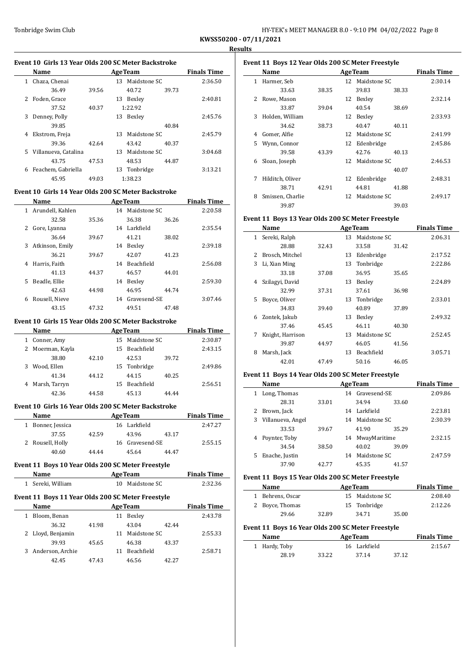| Tonbridge Swim Club | HY-TEK's MEET MANAGER 8.0 - 9:10 PM 04/02/2022 Page 8 |  |  |  |
|---------------------|-------------------------------------------------------|--|--|--|
|---------------------|-------------------------------------------------------|--|--|--|

#### **Event 10 Girls 13 Year Olds 200 SC Meter Backstroke**

|    | Name                 |       | <b>AgeTeam</b> | <b>Finals Time</b> |       |         |
|----|----------------------|-------|----------------|--------------------|-------|---------|
| 1. | Chaza, Chenai        |       | 13             | Maidstone SC       |       | 2:36.50 |
|    | 36.49                | 39.56 |                | 40.72              | 39.73 |         |
| 2  | Foden, Grace         |       | 13             | Bexley             |       | 2:40.81 |
|    | 37.52                | 40.37 |                | 1:22.92            |       |         |
| 3  | Denney, Polly        |       | 13             | Bexley             |       | 2:45.76 |
|    | 39.85                |       |                |                    | 40.84 |         |
| 4  | Ekstrom, Freja       |       | 13             | Maidstone SC       |       | 2:45.79 |
|    | 39.36                | 42.64 |                | 43.42              | 40.37 |         |
| 5. | Villanueva, Catalina |       | 13             | Maidstone SC       |       | 3:04.68 |
|    | 43.75                | 47.53 |                | 48.53              | 44.87 |         |
| 6  | Feachem, Gabriella   |       | 13             | Tonbridge          |       | 3:13.21 |
|    | 45.95                | 49.03 |                | 1:38.23            |       |         |

### **Event 10 Girls 14 Year Olds 200 SC Meter Backstroke**

|    | Name             |       |    | <b>AgeTeam</b>  |       | <b>Finals Time</b> |
|----|------------------|-------|----|-----------------|-------|--------------------|
| 1  | Arundell, Kahlen |       |    | 14 Maidstone SC |       | 2:20.58            |
|    | 32.58            | 35.36 |    | 36.38           | 36.26 |                    |
| 2  | Gore, Lyanna     |       |    | 14 Larkfield    |       | 2:35.54            |
|    | 36.64            | 39.67 |    | 41.21           | 38.02 |                    |
| 3  | Atkinson, Emily  |       | 14 | Bexley          |       | 2:39.18            |
|    | 36.21            | 39.67 |    | 42.07           | 41.23 |                    |
| 4  | Harris, Faith    |       | 14 | Beachfield      |       | 2:56.08            |
|    | 41.13            | 44.37 |    | 46.57           | 44.01 |                    |
| 5. | Beadle, Ellie    |       | 14 | Bexley          |       | 2:59.30            |
|    | 42.63            | 44.98 |    | 46.95           | 44.74 |                    |
| 6  | Rousell, Nieve   |       | 14 | Gravesend-SE    |       | 3:07.46            |
|    | 43.15            | 47.32 |    | 49.51           | 47.48 |                    |

### **Event 10 Girls 15 Year Olds 200 SC Meter Backstroke**

| Name             |       |    | <b>AgeTeam</b> |       | <b>Finals Time</b> |
|------------------|-------|----|----------------|-------|--------------------|
| Conner, Amy<br>1 |       | 15 | Maidstone SC   |       | 2:30.87            |
| 2 Moerman, Kayla |       | 15 | Beachfield     |       | 2:43.15            |
| 38.80            | 42.10 |    | 42.53          | 39.72 |                    |
| Wood, Ellen<br>3 |       |    | 15 Tonbridge   |       | 2:49.86            |
| 41.34            | 44.12 |    | 44.15          | 40.25 |                    |
| 4 Marsh, Tarryn  |       | 15 | Beachfield     |       | 2:56.51            |
| 42.36            | 44.58 |    | 45.13          | 44.44 |                    |

#### **Event 10 Girls 16 Year Olds 200 SC Meter Backstroke**

| <b>Name</b>       | <b>AgeTeam</b> |  |                 |       | <b>Finals Time</b> |
|-------------------|----------------|--|-----------------|-------|--------------------|
| 1 Bonner, Jessica |                |  | 16 Larkfield    |       | 2:47.27            |
| 37.55             | 42.59          |  | 43.96           | 43.17 |                    |
| 2 Rousell, Holly  |                |  | 16 Gravesend-SE |       | 2:55.15            |
| 40.60             | 44.44          |  | 45.64           | 44.47 |                    |

#### **Event 11 Boys 10 Year Olds 200 SC Meter Freestyle**

| Name              | <b>AgeTeam</b>  | <b>Finals Time</b> |  |
|-------------------|-----------------|--------------------|--|
| 1 Sereki, William | 10 Maidstone SC | 2:32.36            |  |

#### **Event 11 Boys 11 Year Olds 200 SC Meter Freestyle**

| <b>Name</b>       | <b>AgeTeam</b> |  |              | <b>Finals Time</b> |         |
|-------------------|----------------|--|--------------|--------------------|---------|
| Bloom, Benan      |                |  | Bexley       |                    | 2:43.78 |
| 36.32             | 41.98          |  | 43.04        | 42.44              |         |
| 2 Lloyd, Benjamin |                |  | Maidstone SC |                    | 2:55.33 |
| 39.93             | 45.65          |  | 46.38        | 43.37              |         |
| Anderson, Archie  |                |  | Beachfield   |                    | 2:58.71 |
| 42.45             | 47.43          |  | 46.56        | 42.27              |         |

| Event 11 Boys 12 Year Olds 200 SC Meter Freestyle |                  |       |    |                 |       |                    |
|---------------------------------------------------|------------------|-------|----|-----------------|-------|--------------------|
|                                                   | Name             |       |    | <b>AgeTeam</b>  |       | <b>Finals Time</b> |
| 1                                                 | Harmer, Seb      |       |    | 12 Maidstone SC |       | 2:30.14            |
|                                                   | 33.63            | 38.35 |    | 39.83           | 38.33 |                    |
| $\mathcal{L}$                                     | Rowe, Mason      |       | 12 | Bexley          |       | 2:32.14            |
|                                                   | 33.87            | 39.04 |    | 40.54           | 38.69 |                    |
| 3                                                 | Holden, William  |       | 12 | Bexley          |       | 2:33.93            |
|                                                   | 34.62            | 38.73 |    | 40.47           | 40.11 |                    |
| 4                                                 | Gomer, Alfie     |       | 12 | Maidstone SC    |       | 2:41.99            |
| 5.                                                | Wynn, Connor     |       | 12 | Edenbridge      |       | 2:45.86            |
|                                                   | 39.58            | 43.39 |    | 42.76           | 40.13 |                    |
| 6                                                 | Sloan, Joseph    |       | 12 | Maidstone SC    |       | 2:46.53            |
|                                                   |                  |       |    |                 | 40.07 |                    |
| 7                                                 | Hilditch, Oliver |       | 12 | Edenbridge      |       | 2:48.31            |
|                                                   | 38.71            | 42.91 |    | 44.81           | 41.88 |                    |
| 8                                                 | Smissen, Charlie |       | 12 | Maidstone SC    |       | 2:49.17            |
|                                                   | 39.87            |       |    |                 | 39.03 |                    |

### **Event 11 Boys 13 Year Olds 200 SC Meter Freestyle**

|              | Name             |       |    | <b>AgeTeam</b>    |       | <b>Finals Time</b> |
|--------------|------------------|-------|----|-------------------|-------|--------------------|
| $\mathbf{1}$ | Sereki, Ralph    |       | 13 | Maidstone SC      |       | 2:06.31            |
|              | 28.88            | 32.43 |    | 33.58             | 31.42 |                    |
| 2            | Brosch, Mitchel  |       | 13 | Edenbridge        |       | 2:17.52            |
| 3            | Li, Xian Ming    |       | 13 | Tonbridge         |       | 2:22.86            |
|              | 33.18            | 37.08 |    | 36.95             | 35.65 |                    |
| 4            | Szilagyi, David  |       | 13 | Bexley            |       | 2:24.89            |
|              | 32.99            | 37.31 |    | 37.61             | 36.98 |                    |
| 5.           | Boyce, Oliver    |       | 13 | Tonbridge         |       | 2:33.01            |
|              | 34.83            | 39.40 |    | 40.89             | 37.89 |                    |
| 6            | Zontek, Jakub    |       | 13 | Bexley            |       | 2:49.32            |
|              | 37.46            | 45.45 |    | 46.11             | 40.30 |                    |
| 7            | Knight, Harrison |       | 13 | Maidstone SC      |       | 2:52.45            |
|              | 39.87            | 44.97 |    | 46.05             | 41.56 |                    |
| 8            | Marsh, Jack      |       | 13 | <b>Beachfield</b> |       | 3:05.71            |
|              | 42.01            | 47.49 |    | 50.16             | 46.05 |                    |

#### **Event 11 Boys 14 Year Olds 200 SC Meter Freestyle**

|    | Name                | <b>AgeTeam</b> |    |                 | <b>Finals Time</b> |         |
|----|---------------------|----------------|----|-----------------|--------------------|---------|
| 1  | Long, Thomas        |                |    | 14 Gravesend-SE |                    | 2:09.86 |
|    | 28.31               | 33.01          |    | 34.94           | 33.60              |         |
| 2  | Brown, Jack         |                | 14 | Larkfield       |                    | 2:23.81 |
|    | 3 Villanueva, Angel |                | 14 | Maidstone SC    |                    | 2:30.39 |
|    | 33.53               | 39.67          |    | 41.90           | 35.29              |         |
| 4  | Poynter, Toby       |                | 14 | MwayMaritime    |                    | 2:32.15 |
|    | 34.54               | 38.50          |    | 40.02           | 39.09              |         |
| 5. | Enache, Justin      |                | 14 | Maidstone SC    |                    | 2:47.59 |
|    | 37.90               | 42.77          |    | 45.35           | 41.57              |         |

#### **Event 11 Boys 15 Year Olds 200 SC Meter Freestyle**

| <b>Name</b>      | <b>AgeTeam</b> |                 |       | <b>Finals Time</b> |
|------------------|----------------|-----------------|-------|--------------------|
| 1 Behrens, Oscar |                | 15 Maidstone SC |       | 2:08.40            |
| 2 Boyce, Thomas  |                | 15 Tonbridge    |       | 2:12.26            |
| 29.66            | 32.89          | 34.71           | 35.00 |                    |

### **Event 11 Boys 16 Year Olds 200 SC Meter Freestyle**

| Name          |       | <b>AgeTeam</b> |       | <b>Finals Time</b> |
|---------------|-------|----------------|-------|--------------------|
| 1 Hardy, Toby |       | 16 Larkfield   |       | 2:15.67            |
| 28.19         | 33.22 | 37.14          | 37.12 |                    |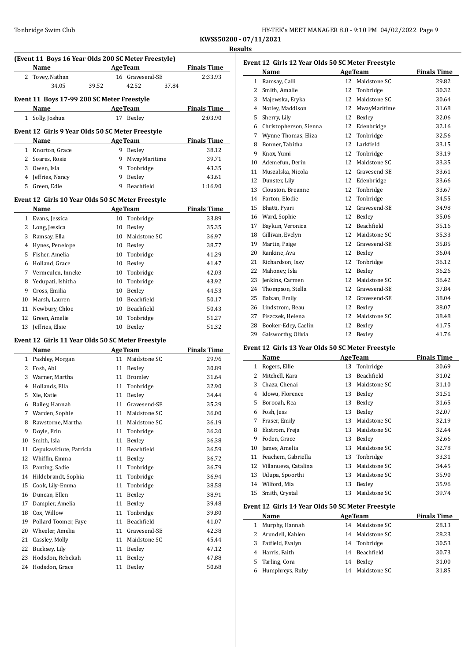| HY-TEK's MEET MANAGER 8.0 - 9:10 PM 04/02/2022 Page 9 |  |  |
|-------------------------------------------------------|--|--|
|                                                       |  |  |

| (Event 11 Boys 16 Year Olds 200 SC Meter Freestyle) |                                                   |                |                 |                    |  |
|-----------------------------------------------------|---------------------------------------------------|----------------|-----------------|--------------------|--|
|                                                     | Name                                              | <b>AgeTeam</b> |                 | <b>Finals Time</b> |  |
| 2                                                   | Tovey, Nathan                                     |                | 16 Gravesend-SE | 2:33.93            |  |
|                                                     | 34.05<br>39.52                                    |                | 42.52<br>37.84  |                    |  |
|                                                     |                                                   |                |                 |                    |  |
|                                                     | Event 11 Boys 17-99 200 SC Meter Freestyle        |                |                 |                    |  |
|                                                     | Name                                              |                | <b>AgeTeam</b>  | <b>Finals Time</b> |  |
| $\mathbf{1}$                                        | Solly, Joshua                                     |                | 17 Bexley       | 2:03.90            |  |
|                                                     | Event 12 Girls 9 Year Olds 50 SC Meter Freestyle  |                |                 |                    |  |
|                                                     | Name                                              |                | <b>AgeTeam</b>  | <b>Finals Time</b> |  |
|                                                     | 1 Knorton, Grace                                  | 9              | Bexley          | 38.12              |  |
|                                                     | 2 Soares, Rosie                                   |                | 9 MwayMaritime  | 39.71              |  |
| 3                                                   | Owen, Isla                                        |                | 9 Tonbridge     | 43.35              |  |
| 4                                                   | Jeffries, Nancy                                   |                | 9 Bexley        | 43.61              |  |
| 5                                                   | Green, Edie                                       | 9              | Beachfield      | 1:16.90            |  |
|                                                     |                                                   |                |                 |                    |  |
|                                                     | Event 12 Girls 10 Year Olds 50 SC Meter Freestyle |                |                 |                    |  |
|                                                     | Name                                              |                | <b>AgeTeam</b>  | <b>Finals Time</b> |  |
| 1                                                   | Evans, Jessica                                    | 10             | Tonbridge       | 33.89              |  |
| 2                                                   | Long, Jessica                                     | 10             | Bexley          | 35.35              |  |
| 3                                                   | Ramsay, Ella                                      |                | 10 Maidstone SC | 36.97              |  |
| 4                                                   | Hynes, Penelope                                   |                | 10 Bexley       | 38.77              |  |
| 5                                                   | Fisher, Amelia                                    |                | 10 Tonbridge    | 41.29              |  |
|                                                     | 6 Holland, Grace                                  |                | 10 Bexley       | 41.47              |  |
|                                                     | 7 Vermeulen, Inneke                               |                | 10 Tonbridge    | 42.03              |  |
| 8                                                   | Yedupati, Ishitha                                 |                | 10 Tonbridge    | 43.92              |  |
| 9                                                   | Cross, Emilia                                     |                | 10 Bexley       | 44.53              |  |
| 10                                                  | Marsh, Lauren                                     |                | 10 Beachfield   | 50.17              |  |
| 11                                                  | Newbury, Chloe                                    |                | 10 Beachfield   | 50.43              |  |
| 12                                                  | Green, Amelie                                     | 10             | Tonbridge       | 51.27              |  |
| 13                                                  | Jeffries, Elsie                                   | 10             | Bexley          | 51.32              |  |
|                                                     | Event 12 Girls 11 Year Olds 50 SC Meter Freestyle |                |                 |                    |  |
|                                                     | Name                                              |                | <b>AgeTeam</b>  | <b>Finals Time</b> |  |
|                                                     | 1 Pashley, Morgan                                 |                | 11 Maidstone SC | 29.96              |  |
|                                                     | 2 Fosh, Abi                                       |                | 11 Bexley       | 30.89              |  |
|                                                     | 3 Warner, Martha                                  |                | 11 Bromley      | 31.64              |  |
|                                                     | 4 Hollands, Ella                                  | 11             | Tonbridge       | 32.90              |  |
|                                                     | 5 Xie, Katie                                      | 11             | Bexley          | 34.44              |  |
|                                                     | 6 Bailey, Hannah                                  |                | 11 Gravesend-SE | 35.29              |  |
| 7                                                   | Warden, Sophie                                    |                | 11 Maidstone SC | 36.00              |  |
| 8                                                   | Rawstorne, Martha                                 | 11             | Maidstone SC    | 36.19              |  |
| 9                                                   | Doyle, Erin                                       | 11             | Tonbridge       | 36.20              |  |
| 10                                                  | Smith, Isla                                       | 11             | Bexley          | 36.38              |  |
| 11                                                  | Cepukaviciute, Patricia                           | 11             | Beachfield      | 36.59              |  |
| 12                                                  | Whiffin, Emma                                     | 11             | Bexley          | 36.72              |  |
| 13                                                  | Panting, Sadie                                    | 11             | Tonbridge       | 36.79              |  |
| 14                                                  | Hildebrandt, Sophia                               | 11             | Tonbridge       | 36.94              |  |
| 15                                                  | Cook, Lily-Emma                                   | 11             | Tonbridge       | 38.58              |  |
| 16                                                  | Duncan, Ellen                                     | 11             | Bexley          | 38.91              |  |
| 17                                                  | Dampier, Amelia                                   | 11             | Bexley          | 39.48              |  |
| 18                                                  | Cox, Willow                                       | 11             | Tonbridge       | 39.80              |  |
| 19                                                  | Pollard-Toomer, Faye                              | 11             | Beachfield      | 41.07              |  |
| 20                                                  | Wheeler, Amelia                                   | 11             | Gravesend-SE    | 42.38              |  |
| 21                                                  | Cassley, Molly                                    | 11             | Maidstone SC    | 45.44              |  |
| 22                                                  | Bucksey, Lily                                     | 11             | Bexley          | 47.12              |  |
| 23                                                  | Hodsdon, Rebekah                                  | 11             | Bexley          | 47.88              |  |
| 24                                                  | Hodsdon, Grace                                    | 11             | Bexley          | 50.68              |  |
|                                                     |                                                   |                |                 |                    |  |

| lts            |                                                   |    |                   |                    |
|----------------|---------------------------------------------------|----|-------------------|--------------------|
|                | Event 12 Girls 12 Year Olds 50 SC Meter Freestyle |    |                   |                    |
|                | Name                                              |    | <b>AgeTeam</b>    | <b>Finals Time</b> |
| $\mathbf{1}$   | Ramsay, Calli                                     | 12 | Maidstone SC      | 29.82              |
| $\overline{c}$ | Smith, Amalie                                     | 12 | Tonbridge         | 30.32              |
| 3              | Majewska, Eryka                                   | 12 | Maidstone SC      | 30.64              |
| $\overline{4}$ | Notley, Maddison                                  | 12 | MwayMaritime      | 31.68              |
| 5              | Sherry, Lily                                      | 12 | Bexley            | 32.06              |
| 6              | Christopherson, Sienna                            | 12 | Edenbridge        | 32.16              |
| 7              | Wynne Thomas, Eliza                               | 12 | Tonbridge         | 32.56              |
| 8              | Bonner, Tabitha                                   | 12 | Larkfield         | 33.15              |
| 9              | Knox, Yumi                                        | 12 | Tonbridge         | 33.19              |
| 10             | Ademefun, Derin                                   | 12 | Maidstone SC      | 33.35              |
| 11             | Muszalska, Nicola                                 | 12 | Gravesend-SE      | 33.61              |
| 12             | Dunster, Lily                                     | 12 | Edenbridge        | 33.66              |
| 13             | Clouston, Breanne                                 | 12 | Tonbridge         | 33.67              |
| 14             | Parton, Elodie                                    | 12 | Tonbridge         | 34.55              |
| 15             | Bhatti, Pyari                                     | 12 | Gravesend-SE      | 34.98              |
| 16             | Ward, Sophie                                      | 12 | Bexley            | 35.06              |
| 17             | Baykun, Veronica                                  | 12 | <b>Beachfield</b> | 35.16              |
| 18             | Gillivan, Evelyn                                  | 12 | Maidstone SC      | 35.33              |
| 19             | Martin, Paige                                     | 12 | Gravesend-SE      | 35.85              |
| 20             | Rankine, Ava                                      | 12 | Bexley            | 36.04              |
| 21             | Richardson, Issy                                  | 12 | Tonbridge         | 36.12              |
| 22             | Mahoney, Isla                                     | 12 | Bexley            | 36.26              |
| 23             | Jenkins, Carmen                                   | 12 | Maidstone SC      | 36.42              |
| 24             | Thompson, Stella                                  | 12 | Gravesend-SE      | 37.84              |
| 25             | Balzan, Emily                                     | 12 | Gravesend-SE      | 38.04              |
| 26             | Lindstrom, Beau                                   | 12 | Bexley            | 38.07              |
| 27             | Piszczek. Helena                                  | 12 | Maidstone SC      | 38.48              |

### **Event 12 Girls 13 Year Olds 50 SC Meter Freestyle**

|    | Name                 |    | <b>AgeTeam</b> | <b>Finals Time</b> |
|----|----------------------|----|----------------|--------------------|
| 1  | Rogers, Ellie        |    | 13 Tonbridge   | 30.69              |
| 2  | Mitchell, Kara       | 13 | Beachfield     | 31.02              |
| 3  | Chaza, Chenai        | 13 | Maidstone SC   | 31.10              |
| 4  | Idowu, Florence      | 13 | Bexley         | 31.51              |
| 5. | Borooah, Rea         | 13 | Bexley         | 31.65              |
| 6  | Fosh, Jess           | 13 | Bexley         | 32.07              |
| 7  | Fraser, Emily        | 13 | Maidstone SC   | 32.19              |
| 8  | Ekstrom, Freja       | 13 | Maidstone SC   | 32.44              |
| 9  | Foden, Grace         | 13 | Bexley         | 32.66              |
| 10 | James, Amelia        | 13 | Maidstone SC   | 32.78              |
| 11 | Feachem, Gabriella   | 13 | Tonbridge      | 33.31              |
| 12 | Villanueva, Catalina | 13 | Maidstone SC   | 34.45              |
| 13 | Udupa, Spoorthi      | 13 | Maidstone SC   | 35.90              |
| 14 | Wilford, Mia         | 13 | Bexley         | 35.96              |
| 15 | Smith, Crystal       | 13 | Maidstone SC   | 39.74              |

 Booker-Edey, Caelin 12 Bexley 41.75 29 Galsworthy, Olivia 12 Bexley 41.76

### **Event 12 Girls 14 Year Olds 50 SC Meter Freestyle**

| Name               | <b>AgeTeam</b>  | <b>Finals Time</b> |
|--------------------|-----------------|--------------------|
| 1 Murphy, Hannah   | 14 Maidstone SC | 28.13              |
| 2 Arundell, Kahlen | 14 Maidstone SC | 28.23              |
| 3 Patfield, Evalyn | 14 Tonbridge    | 30.53              |
| 4 Harris, Faith    | 14 Beachfield   | 30.73              |
| 5 Tarling, Cora    | 14 Bexley       | 31.00              |
| 6 Humphreys, Ruby  | 14 Maidstone SC | 31.85              |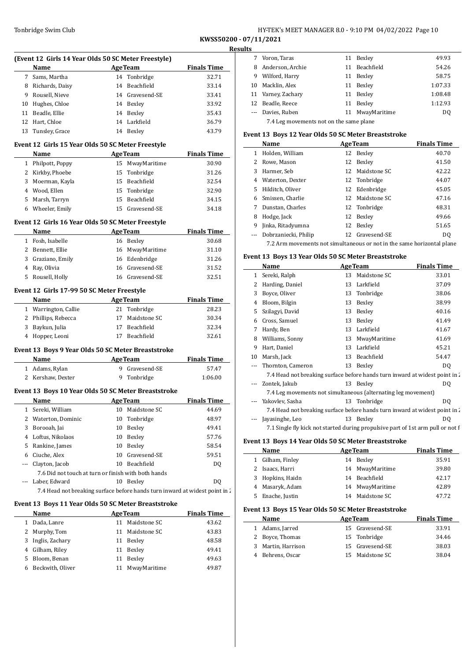| HY-TEK's MEET MANAGER 8.0 - 9:10 PM 04/02/2022 Page 10 |
|--------------------------------------------------------|
|                                                        |

**KWSS50200 - 07/11/2021 Results**

| <b>Name</b><br><b>Example 2 Age Team</b><br><b>Example 1</b> Finals Time<br>7 Sams, Martha<br>14 Tonbridge<br>32.71<br>8 Richards, Daisy<br>14 Beachfield<br>33.14<br>9 Rousell, Nieve<br>14 Gravesend-SE<br>33.41<br>10 Hughes, Chloe<br>14 Bexley<br>33.92<br>11 Beadle, Ellie<br>14 Bexley<br>35.43<br>12 Hart, Chloe<br>14 Larkfield<br>36.79<br>13 Tunsley, Grace<br>14 Bexley<br>43.79<br>Event 12 Girls 15 Year Olds 50 SC Meter Freestyle<br><b>AgeTeam</b><br><b>Finals Time</b><br>Name<br>1 Philpott, Poppy<br>15 MwayMaritime<br>30.90<br>2 Kirkby, Phoebe<br>15 Tonbridge<br>31.26<br>3 Moerman, Kayla<br>15 Beachfield<br>32.54<br>4 Wood, Ellen<br>15 Tonbridge<br>32.90<br>5 Marsh, Tarryn<br>15 Beachfield<br>34.15<br>6 Wheeler, Emily<br>15 Gravesend-SE<br>34.18<br>Event 12 Girls 16 Year Olds 50 SC Meter Freestyle<br><b>Example 2 AgeTeam</b><br><b>Example 2 Finals Time</b><br>Name<br>1 Fosh, Isabelle<br>16 Bexley<br>30.68<br>2 Bennett, Ellie<br>16 MwayMaritime<br>31.10<br>3 Graziano, Emily<br>16 Edenbridge<br>31.26<br>4 Ray, Olivia<br>16 Gravesend-SE<br>31.52<br>5 Rousell, Holly<br>16 Gravesend-SE<br>32.51<br>Event 12 Girls 17-99 50 SC Meter Freestyle<br><b>Example 2 AgeTeam</b><br><b>Finals Time</b><br>Name<br>1 Warrington, Callie<br>21 Tonbridge<br>28.23<br>2 Phillips, Rebecca<br>17 Maidstone SC<br>30.34<br>3 Baykun, Julia<br>17 Beachfield<br>32.34<br>4 Hopper, Leoni<br>17 Beachfield<br>32.61<br>Event 13 Boys 9 Year Olds 50 SC Meter Breaststroke<br>Name<br><b>Example 2018</b> Age Team<br><b>Finals Time</b><br>9 Gravesend-SE<br>1 Adams, Rylan<br>57.47<br>9 Tonbridge<br>2 Kershaw, Dexter<br>1:06.00<br>Event 13 Boys 10 Year Olds 50 SC Meter Breaststroke<br><b>Example 2 Age Team</b> Finals Time<br>Name<br>1 Sereki, William<br>10 Maidstone SC<br>44.69<br>2 Waterton, Dominic<br>Tonbridge<br>10<br>48.97<br>Borooah, Jai<br>10 Bexley<br>49.41<br>3<br>4 Loftus, Nikolaos<br>10 Bexley<br>57.76<br>5 Rankine, James<br>10 Bexley<br>58.54<br>6 Ciuche, Alex<br>10 Gravesend-SE<br>59.51<br>Clayton, Jacob<br>10 Beachfield<br>DQ<br>---<br>7.6 Did not touch at turn or finish with both hands<br>--- Laber, Edward<br>10 Bexley<br>DQ<br>7.4 Head not breaking surface before hands turn inward at widest point in 2<br>Event 13 Boys 11 Year Olds 50 SC Meter Breaststroke<br><b>AgeTeam</b><br><b>Finals Time</b><br>Name<br>1 Dada, Lanre<br>11 Maidstone SC<br>43.62<br>2 Murphy, Tom<br>11 Maidstone SC<br>43.83<br>3 Inglis, Zachary<br>11 Bexley<br>48.58 | 7 Vor                |
|------------------------------------------------------------------------------------------------------------------------------------------------------------------------------------------------------------------------------------------------------------------------------------------------------------------------------------------------------------------------------------------------------------------------------------------------------------------------------------------------------------------------------------------------------------------------------------------------------------------------------------------------------------------------------------------------------------------------------------------------------------------------------------------------------------------------------------------------------------------------------------------------------------------------------------------------------------------------------------------------------------------------------------------------------------------------------------------------------------------------------------------------------------------------------------------------------------------------------------------------------------------------------------------------------------------------------------------------------------------------------------------------------------------------------------------------------------------------------------------------------------------------------------------------------------------------------------------------------------------------------------------------------------------------------------------------------------------------------------------------------------------------------------------------------------------------------------------------------------------------------------------------------------------------------------------------------------------------------------------------------------------------------------------------------------------------------------------------------------------------------------------------------------------------------------------------------------------------------------------------------------------------------------------------------------------------------------------------------------------------------------------------------------------------------------------------------------------------------------------------------------------------------------------------|----------------------|
|                                                                                                                                                                                                                                                                                                                                                                                                                                                                                                                                                                                                                                                                                                                                                                                                                                                                                                                                                                                                                                                                                                                                                                                                                                                                                                                                                                                                                                                                                                                                                                                                                                                                                                                                                                                                                                                                                                                                                                                                                                                                                                                                                                                                                                                                                                                                                                                                                                                                                                                                                | 8 Ano                |
|                                                                                                                                                                                                                                                                                                                                                                                                                                                                                                                                                                                                                                                                                                                                                                                                                                                                                                                                                                                                                                                                                                                                                                                                                                                                                                                                                                                                                                                                                                                                                                                                                                                                                                                                                                                                                                                                                                                                                                                                                                                                                                                                                                                                                                                                                                                                                                                                                                                                                                                                                | 9 Wil                |
|                                                                                                                                                                                                                                                                                                                                                                                                                                                                                                                                                                                                                                                                                                                                                                                                                                                                                                                                                                                                                                                                                                                                                                                                                                                                                                                                                                                                                                                                                                                                                                                                                                                                                                                                                                                                                                                                                                                                                                                                                                                                                                                                                                                                                                                                                                                                                                                                                                                                                                                                                | 10 Ma                |
|                                                                                                                                                                                                                                                                                                                                                                                                                                                                                                                                                                                                                                                                                                                                                                                                                                                                                                                                                                                                                                                                                                                                                                                                                                                                                                                                                                                                                                                                                                                                                                                                                                                                                                                                                                                                                                                                                                                                                                                                                                                                                                                                                                                                                                                                                                                                                                                                                                                                                                                                                | 11 Var               |
|                                                                                                                                                                                                                                                                                                                                                                                                                                                                                                                                                                                                                                                                                                                                                                                                                                                                                                                                                                                                                                                                                                                                                                                                                                                                                                                                                                                                                                                                                                                                                                                                                                                                                                                                                                                                                                                                                                                                                                                                                                                                                                                                                                                                                                                                                                                                                                                                                                                                                                                                                | 12 Bea               |
|                                                                                                                                                                                                                                                                                                                                                                                                                                                                                                                                                                                                                                                                                                                                                                                                                                                                                                                                                                                                                                                                                                                                                                                                                                                                                                                                                                                                                                                                                                                                                                                                                                                                                                                                                                                                                                                                                                                                                                                                                                                                                                                                                                                                                                                                                                                                                                                                                                                                                                                                                | --- Day              |
|                                                                                                                                                                                                                                                                                                                                                                                                                                                                                                                                                                                                                                                                                                                                                                                                                                                                                                                                                                                                                                                                                                                                                                                                                                                                                                                                                                                                                                                                                                                                                                                                                                                                                                                                                                                                                                                                                                                                                                                                                                                                                                                                                                                                                                                                                                                                                                                                                                                                                                                                                | 7                    |
|                                                                                                                                                                                                                                                                                                                                                                                                                                                                                                                                                                                                                                                                                                                                                                                                                                                                                                                                                                                                                                                                                                                                                                                                                                                                                                                                                                                                                                                                                                                                                                                                                                                                                                                                                                                                                                                                                                                                                                                                                                                                                                                                                                                                                                                                                                                                                                                                                                                                                                                                                | Event 13             |
|                                                                                                                                                                                                                                                                                                                                                                                                                                                                                                                                                                                                                                                                                                                                                                                                                                                                                                                                                                                                                                                                                                                                                                                                                                                                                                                                                                                                                                                                                                                                                                                                                                                                                                                                                                                                                                                                                                                                                                                                                                                                                                                                                                                                                                                                                                                                                                                                                                                                                                                                                | Na                   |
|                                                                                                                                                                                                                                                                                                                                                                                                                                                                                                                                                                                                                                                                                                                                                                                                                                                                                                                                                                                                                                                                                                                                                                                                                                                                                                                                                                                                                                                                                                                                                                                                                                                                                                                                                                                                                                                                                                                                                                                                                                                                                                                                                                                                                                                                                                                                                                                                                                                                                                                                                | 1 Hol                |
|                                                                                                                                                                                                                                                                                                                                                                                                                                                                                                                                                                                                                                                                                                                                                                                                                                                                                                                                                                                                                                                                                                                                                                                                                                                                                                                                                                                                                                                                                                                                                                                                                                                                                                                                                                                                                                                                                                                                                                                                                                                                                                                                                                                                                                                                                                                                                                                                                                                                                                                                                | 2 Roy                |
|                                                                                                                                                                                                                                                                                                                                                                                                                                                                                                                                                                                                                                                                                                                                                                                                                                                                                                                                                                                                                                                                                                                                                                                                                                                                                                                                                                                                                                                                                                                                                                                                                                                                                                                                                                                                                                                                                                                                                                                                                                                                                                                                                                                                                                                                                                                                                                                                                                                                                                                                                | 3 Har                |
|                                                                                                                                                                                                                                                                                                                                                                                                                                                                                                                                                                                                                                                                                                                                                                                                                                                                                                                                                                                                                                                                                                                                                                                                                                                                                                                                                                                                                                                                                                                                                                                                                                                                                                                                                                                                                                                                                                                                                                                                                                                                                                                                                                                                                                                                                                                                                                                                                                                                                                                                                | 4 Wa                 |
|                                                                                                                                                                                                                                                                                                                                                                                                                                                                                                                                                                                                                                                                                                                                                                                                                                                                                                                                                                                                                                                                                                                                                                                                                                                                                                                                                                                                                                                                                                                                                                                                                                                                                                                                                                                                                                                                                                                                                                                                                                                                                                                                                                                                                                                                                                                                                                                                                                                                                                                                                | 5 Hile               |
|                                                                                                                                                                                                                                                                                                                                                                                                                                                                                                                                                                                                                                                                                                                                                                                                                                                                                                                                                                                                                                                                                                                                                                                                                                                                                                                                                                                                                                                                                                                                                                                                                                                                                                                                                                                                                                                                                                                                                                                                                                                                                                                                                                                                                                                                                                                                                                                                                                                                                                                                                | 6 Sm                 |
|                                                                                                                                                                                                                                                                                                                                                                                                                                                                                                                                                                                                                                                                                                                                                                                                                                                                                                                                                                                                                                                                                                                                                                                                                                                                                                                                                                                                                                                                                                                                                                                                                                                                                                                                                                                                                                                                                                                                                                                                                                                                                                                                                                                                                                                                                                                                                                                                                                                                                                                                                | 7 Dui                |
|                                                                                                                                                                                                                                                                                                                                                                                                                                                                                                                                                                                                                                                                                                                                                                                                                                                                                                                                                                                                                                                                                                                                                                                                                                                                                                                                                                                                                                                                                                                                                                                                                                                                                                                                                                                                                                                                                                                                                                                                                                                                                                                                                                                                                                                                                                                                                                                                                                                                                                                                                | 8<br>Ho              |
|                                                                                                                                                                                                                                                                                                                                                                                                                                                                                                                                                                                                                                                                                                                                                                                                                                                                                                                                                                                                                                                                                                                                                                                                                                                                                                                                                                                                                                                                                                                                                                                                                                                                                                                                                                                                                                                                                                                                                                                                                                                                                                                                                                                                                                                                                                                                                                                                                                                                                                                                                | 9<br>Jinl            |
|                                                                                                                                                                                                                                                                                                                                                                                                                                                                                                                                                                                                                                                                                                                                                                                                                                                                                                                                                                                                                                                                                                                                                                                                                                                                                                                                                                                                                                                                                                                                                                                                                                                                                                                                                                                                                                                                                                                                                                                                                                                                                                                                                                                                                                                                                                                                                                                                                                                                                                                                                | Dol<br>---           |
|                                                                                                                                                                                                                                                                                                                                                                                                                                                                                                                                                                                                                                                                                                                                                                                                                                                                                                                                                                                                                                                                                                                                                                                                                                                                                                                                                                                                                                                                                                                                                                                                                                                                                                                                                                                                                                                                                                                                                                                                                                                                                                                                                                                                                                                                                                                                                                                                                                                                                                                                                | 7                    |
|                                                                                                                                                                                                                                                                                                                                                                                                                                                                                                                                                                                                                                                                                                                                                                                                                                                                                                                                                                                                                                                                                                                                                                                                                                                                                                                                                                                                                                                                                                                                                                                                                                                                                                                                                                                                                                                                                                                                                                                                                                                                                                                                                                                                                                                                                                                                                                                                                                                                                                                                                | Event 13             |
|                                                                                                                                                                                                                                                                                                                                                                                                                                                                                                                                                                                                                                                                                                                                                                                                                                                                                                                                                                                                                                                                                                                                                                                                                                                                                                                                                                                                                                                                                                                                                                                                                                                                                                                                                                                                                                                                                                                                                                                                                                                                                                                                                                                                                                                                                                                                                                                                                                                                                                                                                | Na                   |
|                                                                                                                                                                                                                                                                                                                                                                                                                                                                                                                                                                                                                                                                                                                                                                                                                                                                                                                                                                                                                                                                                                                                                                                                                                                                                                                                                                                                                                                                                                                                                                                                                                                                                                                                                                                                                                                                                                                                                                                                                                                                                                                                                                                                                                                                                                                                                                                                                                                                                                                                                | 1 Ser                |
|                                                                                                                                                                                                                                                                                                                                                                                                                                                                                                                                                                                                                                                                                                                                                                                                                                                                                                                                                                                                                                                                                                                                                                                                                                                                                                                                                                                                                                                                                                                                                                                                                                                                                                                                                                                                                                                                                                                                                                                                                                                                                                                                                                                                                                                                                                                                                                                                                                                                                                                                                | 2 Har                |
|                                                                                                                                                                                                                                                                                                                                                                                                                                                                                                                                                                                                                                                                                                                                                                                                                                                                                                                                                                                                                                                                                                                                                                                                                                                                                                                                                                                                                                                                                                                                                                                                                                                                                                                                                                                                                                                                                                                                                                                                                                                                                                                                                                                                                                                                                                                                                                                                                                                                                                                                                | 3 Boy                |
|                                                                                                                                                                                                                                                                                                                                                                                                                                                                                                                                                                                                                                                                                                                                                                                                                                                                                                                                                                                                                                                                                                                                                                                                                                                                                                                                                                                                                                                                                                                                                                                                                                                                                                                                                                                                                                                                                                                                                                                                                                                                                                                                                                                                                                                                                                                                                                                                                                                                                                                                                | 4 Blo                |
|                                                                                                                                                                                                                                                                                                                                                                                                                                                                                                                                                                                                                                                                                                                                                                                                                                                                                                                                                                                                                                                                                                                                                                                                                                                                                                                                                                                                                                                                                                                                                                                                                                                                                                                                                                                                                                                                                                                                                                                                                                                                                                                                                                                                                                                                                                                                                                                                                                                                                                                                                | 5 Szil               |
|                                                                                                                                                                                                                                                                                                                                                                                                                                                                                                                                                                                                                                                                                                                                                                                                                                                                                                                                                                                                                                                                                                                                                                                                                                                                                                                                                                                                                                                                                                                                                                                                                                                                                                                                                                                                                                                                                                                                                                                                                                                                                                                                                                                                                                                                                                                                                                                                                                                                                                                                                |                      |
|                                                                                                                                                                                                                                                                                                                                                                                                                                                                                                                                                                                                                                                                                                                                                                                                                                                                                                                                                                                                                                                                                                                                                                                                                                                                                                                                                                                                                                                                                                                                                                                                                                                                                                                                                                                                                                                                                                                                                                                                                                                                                                                                                                                                                                                                                                                                                                                                                                                                                                                                                | 6 Cro<br>7 Har       |
|                                                                                                                                                                                                                                                                                                                                                                                                                                                                                                                                                                                                                                                                                                                                                                                                                                                                                                                                                                                                                                                                                                                                                                                                                                                                                                                                                                                                                                                                                                                                                                                                                                                                                                                                                                                                                                                                                                                                                                                                                                                                                                                                                                                                                                                                                                                                                                                                                                                                                                                                                | 8<br>Wil             |
|                                                                                                                                                                                                                                                                                                                                                                                                                                                                                                                                                                                                                                                                                                                                                                                                                                                                                                                                                                                                                                                                                                                                                                                                                                                                                                                                                                                                                                                                                                                                                                                                                                                                                                                                                                                                                                                                                                                                                                                                                                                                                                                                                                                                                                                                                                                                                                                                                                                                                                                                                | 9 Har                |
|                                                                                                                                                                                                                                                                                                                                                                                                                                                                                                                                                                                                                                                                                                                                                                                                                                                                                                                                                                                                                                                                                                                                                                                                                                                                                                                                                                                                                                                                                                                                                                                                                                                                                                                                                                                                                                                                                                                                                                                                                                                                                                                                                                                                                                                                                                                                                                                                                                                                                                                                                | 10 Ma                |
|                                                                                                                                                                                                                                                                                                                                                                                                                                                                                                                                                                                                                                                                                                                                                                                                                                                                                                                                                                                                                                                                                                                                                                                                                                                                                                                                                                                                                                                                                                                                                                                                                                                                                                                                                                                                                                                                                                                                                                                                                                                                                                                                                                                                                                                                                                                                                                                                                                                                                                                                                | --- Tho              |
|                                                                                                                                                                                                                                                                                                                                                                                                                                                                                                                                                                                                                                                                                                                                                                                                                                                                                                                                                                                                                                                                                                                                                                                                                                                                                                                                                                                                                                                                                                                                                                                                                                                                                                                                                                                                                                                                                                                                                                                                                                                                                                                                                                                                                                                                                                                                                                                                                                                                                                                                                | 7                    |
|                                                                                                                                                                                                                                                                                                                                                                                                                                                                                                                                                                                                                                                                                                                                                                                                                                                                                                                                                                                                                                                                                                                                                                                                                                                                                                                                                                                                                                                                                                                                                                                                                                                                                                                                                                                                                                                                                                                                                                                                                                                                                                                                                                                                                                                                                                                                                                                                                                                                                                                                                | --- Zor              |
|                                                                                                                                                                                                                                                                                                                                                                                                                                                                                                                                                                                                                                                                                                                                                                                                                                                                                                                                                                                                                                                                                                                                                                                                                                                                                                                                                                                                                                                                                                                                                                                                                                                                                                                                                                                                                                                                                                                                                                                                                                                                                                                                                                                                                                                                                                                                                                                                                                                                                                                                                | 7                    |
|                                                                                                                                                                                                                                                                                                                                                                                                                                                                                                                                                                                                                                                                                                                                                                                                                                                                                                                                                                                                                                                                                                                                                                                                                                                                                                                                                                                                                                                                                                                                                                                                                                                                                                                                                                                                                                                                                                                                                                                                                                                                                                                                                                                                                                                                                                                                                                                                                                                                                                                                                | --- Yak              |
|                                                                                                                                                                                                                                                                                                                                                                                                                                                                                                                                                                                                                                                                                                                                                                                                                                                                                                                                                                                                                                                                                                                                                                                                                                                                                                                                                                                                                                                                                                                                                                                                                                                                                                                                                                                                                                                                                                                                                                                                                                                                                                                                                                                                                                                                                                                                                                                                                                                                                                                                                | 7                    |
|                                                                                                                                                                                                                                                                                                                                                                                                                                                                                                                                                                                                                                                                                                                                                                                                                                                                                                                                                                                                                                                                                                                                                                                                                                                                                                                                                                                                                                                                                                                                                                                                                                                                                                                                                                                                                                                                                                                                                                                                                                                                                                                                                                                                                                                                                                                                                                                                                                                                                                                                                | Jaya                 |
|                                                                                                                                                                                                                                                                                                                                                                                                                                                                                                                                                                                                                                                                                                                                                                                                                                                                                                                                                                                                                                                                                                                                                                                                                                                                                                                                                                                                                                                                                                                                                                                                                                                                                                                                                                                                                                                                                                                                                                                                                                                                                                                                                                                                                                                                                                                                                                                                                                                                                                                                                | 7                    |
|                                                                                                                                                                                                                                                                                                                                                                                                                                                                                                                                                                                                                                                                                                                                                                                                                                                                                                                                                                                                                                                                                                                                                                                                                                                                                                                                                                                                                                                                                                                                                                                                                                                                                                                                                                                                                                                                                                                                                                                                                                                                                                                                                                                                                                                                                                                                                                                                                                                                                                                                                | <b>Event 13</b>      |
|                                                                                                                                                                                                                                                                                                                                                                                                                                                                                                                                                                                                                                                                                                                                                                                                                                                                                                                                                                                                                                                                                                                                                                                                                                                                                                                                                                                                                                                                                                                                                                                                                                                                                                                                                                                                                                                                                                                                                                                                                                                                                                                                                                                                                                                                                                                                                                                                                                                                                                                                                | Na                   |
|                                                                                                                                                                                                                                                                                                                                                                                                                                                                                                                                                                                                                                                                                                                                                                                                                                                                                                                                                                                                                                                                                                                                                                                                                                                                                                                                                                                                                                                                                                                                                                                                                                                                                                                                                                                                                                                                                                                                                                                                                                                                                                                                                                                                                                                                                                                                                                                                                                                                                                                                                | 1 Gill               |
|                                                                                                                                                                                                                                                                                                                                                                                                                                                                                                                                                                                                                                                                                                                                                                                                                                                                                                                                                                                                                                                                                                                                                                                                                                                                                                                                                                                                                                                                                                                                                                                                                                                                                                                                                                                                                                                                                                                                                                                                                                                                                                                                                                                                                                                                                                                                                                                                                                                                                                                                                | 2 Isaa               |
|                                                                                                                                                                                                                                                                                                                                                                                                                                                                                                                                                                                                                                                                                                                                                                                                                                                                                                                                                                                                                                                                                                                                                                                                                                                                                                                                                                                                                                                                                                                                                                                                                                                                                                                                                                                                                                                                                                                                                                                                                                                                                                                                                                                                                                                                                                                                                                                                                                                                                                                                                | $3$ Ho               |
|                                                                                                                                                                                                                                                                                                                                                                                                                                                                                                                                                                                                                                                                                                                                                                                                                                                                                                                                                                                                                                                                                                                                                                                                                                                                                                                                                                                                                                                                                                                                                                                                                                                                                                                                                                                                                                                                                                                                                                                                                                                                                                                                                                                                                                                                                                                                                                                                                                                                                                                                                | $\overline{4}$<br>Ma |
|                                                                                                                                                                                                                                                                                                                                                                                                                                                                                                                                                                                                                                                                                                                                                                                                                                                                                                                                                                                                                                                                                                                                                                                                                                                                                                                                                                                                                                                                                                                                                                                                                                                                                                                                                                                                                                                                                                                                                                                                                                                                                                                                                                                                                                                                                                                                                                                                                                                                                                                                                | 5 Ena                |
|                                                                                                                                                                                                                                                                                                                                                                                                                                                                                                                                                                                                                                                                                                                                                                                                                                                                                                                                                                                                                                                                                                                                                                                                                                                                                                                                                                                                                                                                                                                                                                                                                                                                                                                                                                                                                                                                                                                                                                                                                                                                                                                                                                                                                                                                                                                                                                                                                                                                                                                                                | Event 13             |
|                                                                                                                                                                                                                                                                                                                                                                                                                                                                                                                                                                                                                                                                                                                                                                                                                                                                                                                                                                                                                                                                                                                                                                                                                                                                                                                                                                                                                                                                                                                                                                                                                                                                                                                                                                                                                                                                                                                                                                                                                                                                                                                                                                                                                                                                                                                                                                                                                                                                                                                                                | Na                   |
|                                                                                                                                                                                                                                                                                                                                                                                                                                                                                                                                                                                                                                                                                                                                                                                                                                                                                                                                                                                                                                                                                                                                                                                                                                                                                                                                                                                                                                                                                                                                                                                                                                                                                                                                                                                                                                                                                                                                                                                                                                                                                                                                                                                                                                                                                                                                                                                                                                                                                                                                                | $\mathbf{1}$         |
|                                                                                                                                                                                                                                                                                                                                                                                                                                                                                                                                                                                                                                                                                                                                                                                                                                                                                                                                                                                                                                                                                                                                                                                                                                                                                                                                                                                                                                                                                                                                                                                                                                                                                                                                                                                                                                                                                                                                                                                                                                                                                                                                                                                                                                                                                                                                                                                                                                                                                                                                                | Ada                  |
|                                                                                                                                                                                                                                                                                                                                                                                                                                                                                                                                                                                                                                                                                                                                                                                                                                                                                                                                                                                                                                                                                                                                                                                                                                                                                                                                                                                                                                                                                                                                                                                                                                                                                                                                                                                                                                                                                                                                                                                                                                                                                                                                                                                                                                                                                                                                                                                                                                                                                                                                                | 2 Boy                |
| 4 Gilham, Riley<br>11 Bexley<br>49.41                                                                                                                                                                                                                                                                                                                                                                                                                                                                                                                                                                                                                                                                                                                                                                                                                                                                                                                                                                                                                                                                                                                                                                                                                                                                                                                                                                                                                                                                                                                                                                                                                                                                                                                                                                                                                                                                                                                                                                                                                                                                                                                                                                                                                                                                                                                                                                                                                                                                                                          | 3<br>Ma              |
| 5 Bloom, Benan<br>11 Bexley<br>49.63                                                                                                                                                                                                                                                                                                                                                                                                                                                                                                                                                                                                                                                                                                                                                                                                                                                                                                                                                                                                                                                                                                                                                                                                                                                                                                                                                                                                                                                                                                                                                                                                                                                                                                                                                                                                                                                                                                                                                                                                                                                                                                                                                                                                                                                                                                                                                                                                                                                                                                           | 4 Bel                |
| Beckwith, Oliver<br>11 MwayMaritime<br>6<br>49.87                                                                                                                                                                                                                                                                                                                                                                                                                                                                                                                                                                                                                                                                                                                                                                                                                                                                                                                                                                                                                                                                                                                                                                                                                                                                                                                                                                                                                                                                                                                                                                                                                                                                                                                                                                                                                                                                                                                                                                                                                                                                                                                                                                                                                                                                                                                                                                                                                                                                                              |                      |
|                                                                                                                                                                                                                                                                                                                                                                                                                                                                                                                                                                                                                                                                                                                                                                                                                                                                                                                                                                                                                                                                                                                                                                                                                                                                                                                                                                                                                                                                                                                                                                                                                                                                                                                                                                                                                                                                                                                                                                                                                                                                                                                                                                                                                                                                                                                                                                                                                                                                                                                                                |                      |

| LS. |                                         |    |               |         |  |  |
|-----|-----------------------------------------|----|---------------|---------|--|--|
|     | Voron, Taras                            | 11 | Bexley        | 49.93   |  |  |
| 8   | Anderson, Archie                        |    | 11 Beachfield | 54.26   |  |  |
| 9   | Wilford, Harry                          | 11 | Bexley        | 58.75   |  |  |
|     | 10 Macklin, Alex                        | 11 | Bexley        | 1:07.33 |  |  |
|     | 11 Varney, Zachary                      | 11 | Bexley        | 1:08.48 |  |  |
|     | 12 Beadle, Reece                        | 11 | Bexley        | 1:12.93 |  |  |
|     | --- Davies, Ruben                       | 11 | MwayMaritime  | DO.     |  |  |
|     | 7.4 Leg movements not on the same plane |    |               |         |  |  |

### **Event 13 Boys 12 Year Olds 50 SC Meter Breaststroke**

|    | Name                 |     | <b>AgeTeam</b>  | <b>Finals Time</b> |
|----|----------------------|-----|-----------------|--------------------|
| 1  | Holden, William      | 12  | Bexley          | 40.70              |
|    | Rowe, Mason          | 12  | Bexley          | 41.50              |
| 3  | Harmer, Seb          |     | 12 Maidstone SC | 42.22              |
| 4  | Waterton, Dexter     |     | 12 Tonbridge    | 44.07              |
| 5. | Hilditch, Oliver     |     | 12 Edenbridge   | 45.05              |
| 6  | Smissen. Charlie     | 12. | Maidstone SC    | 47.16              |
| 7  | Dunstan, Charles     |     | 12 Tonbridge    | 48.31              |
| 8  | Hodge, Jack          | 12  | Bexley          | 49.66              |
| 9  | Jinka, Ritadyumna    | 12  | Bexley          | 51.65              |
|    | Dobrzaniecki, Philip |     | 12 Gravesend-SE | DO.                |

### 7.2 Arm movements not simultaneous or not in the same horizontal plane

### **Event 13 Boys 13 Year Olds 50 SC Meter Breaststroke**

|          | Name                                                                            |    | <b>AgeTeam</b> | <b>Finals Time</b> |
|----------|---------------------------------------------------------------------------------|----|----------------|--------------------|
| 1        | Sereki, Ralph                                                                   | 13 | Maidstone SC   | 33.01              |
| 2        | Harding, Daniel                                                                 | 13 | Larkfield      | 37.09              |
| 3        | Boyce, Oliver                                                                   |    | 13 Tonbridge   | 38.06              |
| 4        | Bloom, Bilgin                                                                   |    | 13 Bexley      | 38.99              |
| 5        | Szilagyi, David                                                                 | 13 | Bexley         | 40.16              |
| 6        | Cross, Samuel                                                                   | 13 | Bexley         | 41.49              |
| 7        | Hardy, Ben                                                                      | 13 | Larkfield      | 41.67              |
| 8        | Williams, Sonny                                                                 | 13 | MwayMaritime   | 41.69              |
| 9        | Hart, Daniel                                                                    | 13 | Larkfield      | 45.21              |
| 10       | Marsh, Jack                                                                     | 13 | Beachfield     | 54.47              |
|          | Thornton, Cameron                                                               |    | 13 Bexley      | DQ                 |
|          | 7.4 Head not breaking surface before hands turn inward at widest point in 2     |    |                |                    |
|          | Zontek, Jakub                                                                   |    | 13 Bexley      | DQ                 |
|          | 7.4 Leg movements not simultaneous (alternating leg movement)                   |    |                |                    |
|          | Yakovlev, Sasha                                                                 |    | 13 Tonbridge   | DQ                 |
|          | 7.4 Head not breaking surface before hands turn inward at widest point in 2     |    |                |                    |
| $\cdots$ | Jayasinghe, Leo                                                                 |    | 13 Bexley      | DQ                 |
|          | 7.1 Single fly kick not started during propulsive part of 1st arm pull or not f |    |                |                    |

### **Event 13 Boys 14 Year Olds 50 SC Meter Breaststroke**

|    | ent 19 Doys 11 Iean Onis 90 De Meter Breastströne |                 |                    |
|----|---------------------------------------------------|-----------------|--------------------|
|    | Name                                              | <b>AgeTeam</b>  | <b>Finals Time</b> |
|    | Gilham, Finley                                    | 14 Bexley       | 35.91              |
|    | Isaacs, Harri                                     | 14 MwayMaritime | 39.80              |
| 3  | Hopkins, Haidn                                    | 14 Beachfield   | 42.17              |
|    | Masaryk, Adam                                     | 14 MwayMaritime | 42.89              |
| 5. | Enache, Justin                                    | 14 Maidstone SC | 47.72              |
|    |                                                   |                 |                    |

### **Event 13 Boys 15 Year Olds 50 SC Meter Breaststroke**

| Name               | <b>AgeTeam</b>  | <b>Finals Time</b> |
|--------------------|-----------------|--------------------|
| 1 Adams, Jarred    | 15 Gravesend-SE | 33.91              |
| 2 Boyce, Thomas    | 15 Tonbridge    | 34.46              |
| 3 Martin, Harrison | 15 Gravesend-SE | 38.03              |
| 4 Behrens, Oscar   | 15 Maidstone SC | 38.04              |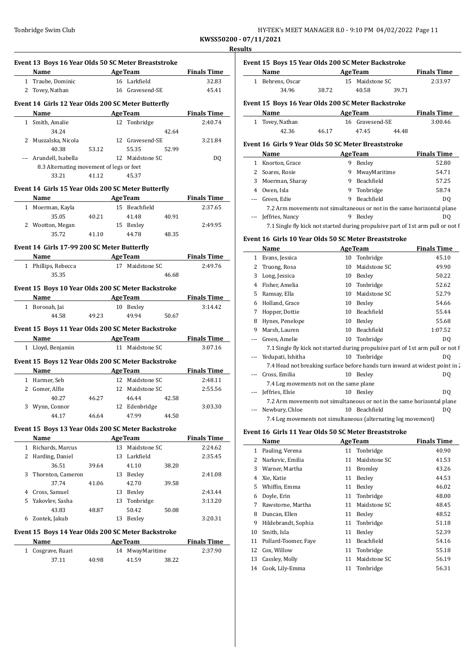| HY-TEK's MEET MANAGER 8.0 - 9:10 PM 04/02/2022 Page 11 |
|--------------------------------------------------------|
|                                                        |

**Event 15 Boys 15 Year Olds 200 SC Meter Backstroke**

**KWSS50200 - 07/11/2021 Results**

| Event 13 Boys 16 Year Olds 50 SC Meter Breaststroke | Name                                                       |       |    | <b>Example 2 Age Team</b>   |       | <b>Finals Time</b> |
|-----------------------------------------------------|------------------------------------------------------------|-------|----|-----------------------------|-------|--------------------|
|                                                     | 1 Traube, Dominic                                          |       |    | 16 Larkfield                |       | 32.83              |
|                                                     | 2 Tovey, Nathan                                            |       |    | 16 Gravesend-SE             |       | 45.41              |
|                                                     | Event 14 Girls 12 Year Olds 200 SC Meter Butterfly         |       |    |                             |       |                    |
|                                                     | Name                                                       |       |    | <b>Example 2.1 Age Team</b> |       | <b>Finals Time</b> |
|                                                     | 1 Smith, Amalie                                            |       |    | 12 Tonbridge                |       | 2:40.74            |
|                                                     | 34.24                                                      |       |    |                             | 42.64 |                    |
|                                                     | 2 Muszalska, Nicola                                        |       |    | 12 Gravesend-SE             |       | 3:21.84            |
|                                                     |                                                            |       |    |                             |       |                    |
|                                                     | 40.38                                                      | 53.12 |    | 55.35                       | 52.99 |                    |
|                                                     | --- Arundell, Isabella                                     |       |    | 12 Maidstone SC             |       | DQ                 |
|                                                     | 8.3 Alternating movement of legs or feet<br>33.21          | 41.12 |    | 45.37                       |       |                    |
|                                                     |                                                            |       |    |                             |       |                    |
|                                                     | Event 14 Girls 15 Year Olds 200 SC Meter Butterfly<br>Name |       |    | <b>Example 2</b> AgeTeam    |       | <b>Finals Time</b> |
|                                                     | 1 Moerman, Kayla                                           |       |    | 15 Beachfield               |       | 2:37.65            |
|                                                     | 35.05                                                      | 40.21 |    | 41.48                       | 40.91 |                    |
|                                                     | 2 Wootton, Megan                                           |       |    | 15 Bexley                   |       | 2:49.95            |
|                                                     |                                                            |       |    | 44.78                       |       |                    |
|                                                     | 35.72                                                      | 41.10 |    |                             | 48.35 |                    |
|                                                     | Event 14 Girls 17-99 200 SC Meter Butterfly                |       |    |                             |       |                    |
|                                                     | Name AgeTeam Finals Time                                   |       |    |                             |       |                    |
|                                                     | 1 Phillips, Rebecca                                        |       |    | 17 Maidstone SC             |       | 2:49.76            |
|                                                     | 35.35                                                      |       |    |                             | 46.68 |                    |
|                                                     | Event 15 Boys 10 Year Olds 200 SC Meter Backstroke         |       |    |                             |       |                    |
|                                                     | Name AgeTeam                                               |       |    |                             |       | <b>Finals Time</b> |
|                                                     |                                                            |       |    |                             |       | 3:14.42            |
|                                                     | 1 Borooah, Jai                                             |       |    | 10 Bexley                   |       |                    |
|                                                     | 44.58                                                      | 49.23 |    | 49.94                       | 50.67 |                    |
|                                                     |                                                            |       |    |                             |       |                    |
|                                                     | Event 15 Boys 11 Year Olds 200 SC Meter Backstroke         |       |    |                             |       |                    |
|                                                     | Name                                                       |       |    | <u>AgeTeam</u>              |       | <b>Finals Time</b> |
|                                                     | 1 Lloyd, Benjamin                                          |       |    | 11 Maidstone SC             |       | 3:07.16            |
|                                                     | Event 15 Boys 12 Year Olds 200 SC Meter Backstroke         |       |    |                             |       |                    |
|                                                     | Name                                                       |       |    | <b>AgeTeam</b>              |       | <b>Finals Time</b> |
|                                                     | 1 Harmer, Seb                                              |       |    | 12 Maidstone SC             |       | 2:48.11            |
|                                                     | 2 Gomer, Alfie                                             |       |    | 12 Maidstone SC             |       | 2:55.56            |
|                                                     | 40.27                                                      | 46.27 |    | 46.44                       | 42.58 |                    |
|                                                     | 3 Wynn, Connor                                             |       |    | 12 Edenbridge               |       | 3:03.30            |
|                                                     | 44.17                                                      | 46.64 |    | 47.99                       | 44.50 |                    |
|                                                     |                                                            |       |    |                             |       |                    |
|                                                     | Event 15 Boys 13 Year Olds 200 SC Meter Backstroke<br>Name |       |    | <b>AgeTeam</b>              |       | <b>Finals Time</b> |
|                                                     | 1 Richards, Marcus                                         |       | 13 | Maidstone SC                |       | 2:24.62            |
|                                                     | 2 Harding, Daniel                                          |       |    | 13 Larkfield                |       | 2:35.45            |
|                                                     | 36.51                                                      | 39.64 |    | 41.10                       | 38.20 |                    |
| 3                                                   |                                                            |       |    |                             |       | 2:41.08            |
|                                                     | Thornton, Cameron                                          |       |    | 13 Bexley                   |       |                    |
|                                                     | 37.74                                                      | 41.06 |    | 42.70                       | 39.58 |                    |
|                                                     | 4 Cross, Samuel                                            |       |    | 13 Bexley                   |       | 2:43.44            |
|                                                     | 5 Yakovlev, Sasha                                          |       |    | 13 Tonbridge                |       | 3:13.20            |
|                                                     | 43.83                                                      | 48.87 |    | 50.42                       | 50.08 |                    |
|                                                     | 6 Zontek, Jakub                                            |       |    | 13 Bexley                   |       | 3:20.31            |
|                                                     | Event 15 Boys 14 Year Olds 200 SC Meter Backstroke         |       |    |                             |       |                    |
|                                                     | Name                                                       |       |    | <b>AgeTeam</b>              |       | <b>Finals Time</b> |
| $\mathbf{1}$                                        | Cosgrave, Ruari                                            |       |    | 14 MwayMaritime             |       | 2:37.90            |

|                | <b>Name</b>                                          |       |    | <b>AgeTeam</b>  |       | <b>Finals Time</b>                                                              |
|----------------|------------------------------------------------------|-------|----|-----------------|-------|---------------------------------------------------------------------------------|
|                | 1 Behrens, Oscar                                     |       |    | 15 Maidstone SC |       | 2:33.97                                                                         |
|                | 34.96                                                | 38.72 |    | 40.58           | 39.71 |                                                                                 |
|                | Event 15 Boys 16 Year Olds 200 SC Meter Backstroke   |       |    |                 |       |                                                                                 |
|                | Name                                                 |       |    | <b>AgeTeam</b>  |       | <b>Finals Time</b>                                                              |
|                | 1 Tovey, Nathan                                      |       |    | 16 Gravesend-SE |       | 3:00.46                                                                         |
|                | 42.36                                                | 46.17 |    | 47.45           | 44.48 |                                                                                 |
|                | Event 16 Girls 9 Year Olds 50 SC Meter Breaststroke  |       |    |                 |       |                                                                                 |
|                | Name                                                 |       |    | <b>AgeTeam</b>  |       | <b>Finals Time</b>                                                              |
|                | 1 Knorton, Grace                                     |       |    | 9 Bexley        |       | 52.80                                                                           |
|                | 2 Soares, Rosie                                      |       |    | 9 MwayMaritime  |       | 54.71                                                                           |
| 3              | Moerman, Sharay                                      |       |    | 9 Beachfield    |       | 57.25                                                                           |
|                | 4 Owen, Isla                                         |       | 9  | Tonbridge       |       | 58.74                                                                           |
| $\overline{a}$ | Green, Edie                                          |       | 9  | Beachfield      |       | D <sub>0</sub>                                                                  |
|                |                                                      |       |    |                 |       | 7.2 Arm movements not simultaneous or not in the same horizontal plane          |
|                | Jeffries, Nancy                                      |       |    | 9 Bexley        |       | DO.                                                                             |
|                |                                                      |       |    |                 |       | 7.1 Single fly kick not started during propulsive part of 1st arm pull or not f |
|                | Event 16 Girls 10 Year Olds 50 SC Meter Breaststroke |       |    |                 |       |                                                                                 |
|                | Name                                                 |       |    | <b>AgeTeam</b>  |       | <b>Finals Time</b>                                                              |
|                | 1 Evans, Jessica                                     |       | 10 | Tonbridge       |       | 45.10                                                                           |
| 2              | Truong, Rosa                                         |       |    | 10 Maidstone SC |       | 49.90                                                                           |
| 3              | Long, Jessica                                        |       |    | 10 Bexley       |       | 50.22                                                                           |
| 4              | Fisher, Amelia                                       |       |    | 10 Tonbridge    |       | 52.62                                                                           |
| 5              | Ramsay, Ella                                         |       | 10 | Maidstone SC    |       | 52.79                                                                           |
| 6              | Holland, Grace                                       |       |    | 10 Bexley       |       | 54.66                                                                           |
| 7              | Hopper, Dottie                                       |       |    | 10 Beachfield   |       | 55.44                                                                           |
| 8              | Hynes, Penelope                                      |       |    | 10 Bexley       |       | 55.68                                                                           |
| 9              | Marsh, Lauren                                        |       |    | 10 Beachfield   |       | 1:07.52                                                                         |
|                | Green, Amelie                                        |       | 10 | Tonbridge       |       | D <sub>0</sub>                                                                  |
|                |                                                      |       |    |                 |       | 7.1 Single fly kick not started during propulsive part of 1st arm pull or not f |
| $- - -$        | Yedupati, Ishitha                                    |       |    | 10 Tonbridge    |       | DO.                                                                             |
|                |                                                      |       |    |                 |       | 7.4 Head not breaking surface before hands turn inward at widest noint in 2     |

7.4 Head not breaking surface before hands turn inward at widest point in  $\zeta$ --- Cross, Emilia 10 Bexley DQ 7.4 Leg movements not on the same plane --- Jeffries, Elsie 10 Bexley DQ 7.2 Arm movements not simultaneous or not in the same horizontal plane --- Newbury, Chloe 10 Beachfield DQ

7.4 Leg movements not simultaneous (alternating leg movement)

### **Event 16 Girls 11 Year Olds 50 SC Meter Breaststroke**

|    | Name                 |    | <b>AgeTeam</b>    | <b>Finals Time</b> |
|----|----------------------|----|-------------------|--------------------|
| 1  | Pauling, Verena      | 11 | Tonbridge         | 40.90              |
| 2  | Narkevic, Emilia     | 11 | Maidstone SC      | 41.53              |
| 3  | Warner, Martha       | 11 | Bromley           | 43.26              |
| 4  | Xie, Katie           | 11 | Bexley            | 44.53              |
| 5  | Whiffin, Emma        | 11 | Bexley            | 46.02              |
| 6  | Doyle, Erin          | 11 | Tonbridge         | 48.00              |
| 7  | Rawstorne, Martha    | 11 | Maidstone SC      | 48.45              |
| 8  | Duncan, Ellen        | 11 | Bexley            | 48.52              |
| 9  | Hildebrandt, Sophia  | 11 | Tonbridge         | 51.18              |
| 10 | Smith, Isla          | 11 | Bexley            | 52.39              |
| 11 | Pollard-Toomer, Faye | 11 | <b>Beachfield</b> | 54.16              |
| 12 | Cox, Willow          | 11 | Tonbridge         | 55.18              |
| 13 | Cassley, Molly       | 11 | Maidstone SC      | 56.19              |
| 14 | Cook, Lily-Emma      | 11 | Tonbridge         | 56.31              |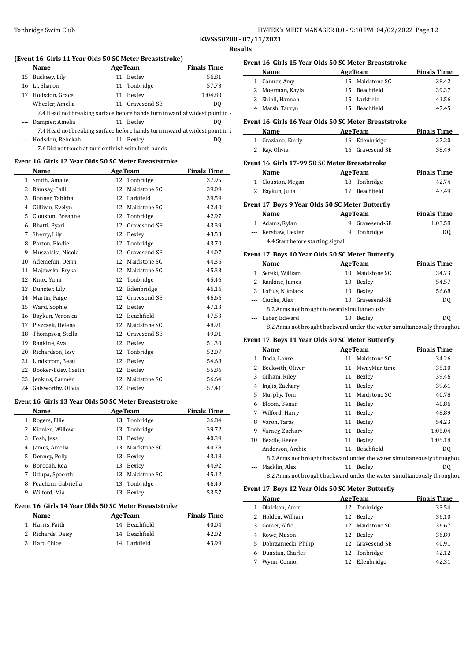**Event 16 Girls 15 Year Olds 50 SC Meter Breaststroke**

**KWSS50200 - 07/11/2021 Results**

 $\overline{\phantom{a}}$ 

 $\equiv$ 

### **(Event 16 Girls 11 Year Olds 50 SC Meter Breaststroke)**

|  | Name                                                                        |  | <b>AgeTeam</b>  | <b>Finals Time</b> | Event 16        |  |
|--|-----------------------------------------------------------------------------|--|-----------------|--------------------|-----------------|--|
|  | 15 Bucksey, Lily                                                            |  | 11 Bexley       | 56.81              | Na              |  |
|  | 16 LI, Sharon                                                               |  | 11 Tonbridge    | 57.73              | Cor<br>1        |  |
|  | 17 Hodsdon, Grace                                                           |  | 11 Bexley       | 1:04.80            | $2$ Mo<br>3 Shi |  |
|  | --- Wheeler, Amelia                                                         |  | 11 Gravesend-SE | DO.                | Ma<br>4         |  |
|  | 7.4 Head not breaking surface before hands turn inward at widest point in 2 |  |                 |                    |                 |  |
|  | --- Dampier, Amelia                                                         |  | 11 Bexley       | DO.                | Event 16        |  |
|  | 7.4 Head not breaking surface before hands turn inward at widest point in 2 |  |                 |                    | Na              |  |
|  | --- Hodsdon, Rebekah                                                        |  | 11 Bexley       | DO.                | Gra             |  |
|  | 7.6 Did not touch at turn or finish with both hands                         |  |                 |                    | Ray<br>2        |  |

#### **Event 16 Girls 12 Year Olds 50 SC Meter Breaststroke**

|              | Name                |    | <b>AgeTeam</b> | <b>Finals Time</b> |
|--------------|---------------------|----|----------------|--------------------|
| $\mathbf{1}$ | Smith, Amalie       | 12 | Tonbridge      | 37.95              |
| 2            | Ramsay, Calli       | 12 | Maidstone SC   | 39.09              |
| 3            | Bonner, Tabitha     | 12 | Larkfield      | 39.59              |
| 4            | Gillivan, Evelyn    | 12 | Maidstone SC   | 42.40              |
| 5            | Clouston, Breanne   | 12 | Tonbridge      | 42.97              |
| 6            | Bhatti, Pyari       | 12 | Gravesend-SE   | 43.39              |
| 7            | Sherry, Lily        | 12 | Bexley         | 43.53              |
| 8            | Parton, Elodie      | 12 | Tonbridge      | 43.70              |
| 9            | Muszalska, Nicola   | 12 | Gravesend-SE   | 44.07              |
| 10           | Ademefun, Derin     | 12 | Maidstone SC   | 44.36              |
| 11           | Majewska, Eryka     | 12 | Maidstone SC   | 45.33              |
| 12           | Knox, Yumi          | 12 | Tonbridge      | 45.46              |
| 13           | Dunster, Lily       | 12 | Edenbridge     | 46.16              |
| 14           | Martin, Paige       | 12 | Gravesend-SE   | 46.66              |
| 15           | Ward, Sophie        | 12 | Bexley         | 47.13              |
| 16           | Baykun, Veronica    | 12 | Beachfield     | 47.53              |
| 17           | Piszczek, Helena    | 12 | Maidstone SC   | 48.91              |
| 18           | Thompson, Stella    | 12 | Gravesend-SE   | 49.01              |
| 19           | Rankine, Ava        | 12 | Bexley         | 51.30              |
| 20           | Richardson, Issy    | 12 | Tonbridge      | 52.07              |
| 21           | Lindstrom, Beau     | 12 | Bexley         | 54.68              |
| 22           | Booker-Edey, Caelin | 12 | Bexley         | 55.86              |
| 23           | Jenkins, Carmen     | 12 | Maidstone SC   | 56.64              |
| 24           | Galsworthy, Olivia  | 12 | Bexley         | 57.41              |

#### **Event 16 Girls 13 Year Olds 50 SC Meter Breaststroke**

|    | Name               |    | <b>AgeTeam</b> | <b>Finals Time</b> |
|----|--------------------|----|----------------|--------------------|
| 1  | Rogers, Ellie      |    | 13 Tonbridge   | 36.84              |
| 2  | Kienlen, Willow    |    | 13 Tonbridge   | 39.72              |
| 3  | Fosh, Jess         | 13 | Bexley         | 40.39              |
| 4  | James, Amelia      | 13 | Maidstone SC   | 40.78              |
| 5. | Denney, Polly      | 13 | Bexley         | 43.18              |
| 6  | Borooah, Rea       | 13 | Bexley         | 44.92              |
| 7  | Udupa, Spoorthi    | 13 | Maidstone SC   | 45.12              |
| 8  | Feachem, Gabriella |    | 13 Tonbridge   | 46.49              |
| 9  | Wilford, Mia       | 13 | Bexley         | 53.57              |

### **Event 16 Girls 14 Year Olds 50 SC Meter Breaststroke**

| Name              | <b>AgeTeam</b> | <b>Finals Time</b> |
|-------------------|----------------|--------------------|
| 1 Harris, Faith   | 14 Beachfield  | 40.04              |
| 2 Richards, Daisy | 14 Beachfield  | 42.02              |
| 3 Hart, Chloe     | 14 Larkfield   | 43.99              |

|                                                       | Name            |    | <b>AgeTeam</b>    | <b>Finals Time</b> |  |  |
|-------------------------------------------------------|-----------------|----|-------------------|--------------------|--|--|
| 1.                                                    | Conner, Amy     | 15 | Maidstone SC      | 38.42              |  |  |
| 2                                                     | Moerman, Kayla  | 15 | <b>Beachfield</b> | 39.37              |  |  |
| 3                                                     | Shibli, Hannah  |    | 15 Larkfield      | 41.56              |  |  |
| 4                                                     | Marsh, Tarryn   | 15 | Beachfield        | 47.45              |  |  |
| Event 16  Girls 16 Year Olds 50 SC Meter Breaststroke |                 |    |                   |                    |  |  |
|                                                       | Name            |    | <b>AgeTeam</b>    | <b>Finals Time</b> |  |  |
| 1                                                     | Graziano, Emily |    | 16 Edenbridge     | 37.20              |  |  |
| 2                                                     | Ray, Olivia     | 16 | Gravesend-SE      | 38.49              |  |  |
| Event 16  Girls 17-99 50 SC Meter Breaststroke        |                 |    |                   |                    |  |  |
|                                                       | Name            |    | <b>AgeTeam</b>    | <b>Finals Time</b> |  |  |
| 1                                                     | Clouston, Megan |    | 18 Tonbridge      | 42.74              |  |  |
| 2                                                     | Baykun, Julia   | 17 | <b>Beachfield</b> | 43.49              |  |  |

#### **Event 17 Boys 9 Year Olds 50 SC Meter Butterfly**

| Name                             | <b>AgeTeam</b> | <b>Finals Time</b> |
|----------------------------------|----------------|--------------------|
| 1 Adams, Rylan                   | 9 Gravesend-SE | 1:03.58            |
| --- Kershaw, Dexter              | 9 Tonbridge    | DO.                |
| 4.4 Start before starting signal |                |                    |

### **Event 17 Boys 10 Year Olds 50 SC Meter Butterfly**

|   | Name                                                                   |    | <b>AgeTeam</b>  | <b>Finals Time</b> |  |  |
|---|------------------------------------------------------------------------|----|-----------------|--------------------|--|--|
| 1 | Sereki, William                                                        |    | 10 Maidstone SC | 34.73              |  |  |
|   | 2 Rankine, James                                                       | 10 | Bexley          | 54.57              |  |  |
| 3 | Loftus, Nikolaos                                                       | 10 | Bexley          | 56.68              |  |  |
|   | --- Ciuche, Alex                                                       |    | 10 Gravesend-SE | DO.                |  |  |
|   | 8.2 Arms not brought forward simultaneously                            |    |                 |                    |  |  |
|   | --- Laber, Edward                                                      | 10 | Bexley          | DO.                |  |  |
|   | 8.2 Arms not brought backward under the water simultaneously throughou |    |                 |                    |  |  |

### **Event 17 Boys 11 Year Olds 50 SC Meter Butterfly**

|    | <b>Name</b>                                                            |    | <b>AgeTeam</b>  | <b>Finals Time</b> |  |  |  |
|----|------------------------------------------------------------------------|----|-----------------|--------------------|--|--|--|
| 1  | Dada, Lanre                                                            |    | 11 Maidstone SC | 34.26              |  |  |  |
|    | Beckwith, Oliver                                                       |    | 11 MwayMaritime | 35.10              |  |  |  |
| 3  | Gilham, Riley                                                          |    | 11 Bexley       | 39.46              |  |  |  |
| 4  | Inglis, Zachary                                                        |    | 11 Bexley       | 39.61              |  |  |  |
| 5  | Murphy, Tom                                                            |    | 11 Maidstone SC | 40.78              |  |  |  |
| 6  | Bloom, Benan                                                           |    | 11 Bexley       | 40.86              |  |  |  |
| 7  | Wilford, Harry                                                         |    | 11 Bexley       | 48.89              |  |  |  |
| 8  | Voron, Taras                                                           |    | 11 Bexley       | 54.23              |  |  |  |
| 9  | Varney, Zachary                                                        |    | 11 Bexley       | 1:05.04            |  |  |  |
| 10 | Beadle, Reece                                                          |    | 11 Bexley       | 1:05.18            |  |  |  |
|    | Anderson, Archie                                                       | 11 | Beachfield      | D <sub>0</sub>     |  |  |  |
|    | 8.2 Arms not brought backward under the water simultaneously throughou |    |                 |                    |  |  |  |
|    | Macklin, Alex                                                          |    | 11 Bexley       | DQ                 |  |  |  |
|    | 8.2 Arms not brought backward under the water simultaneously throughou |    |                 |                    |  |  |  |

#### **Event 17 Boys 12 Year Olds 50 SC Meter Butterfly**

|   | Name                   | <b>AgeTeam</b>  | <b>Finals Time</b> |
|---|------------------------|-----------------|--------------------|
|   | 1 Olalekan, Amir       | 12 Tonbridge    | 33.54              |
|   | 2 Holden, William      | 12 Bexley       | 36.10              |
|   | 3 Gomer, Alfie         | 12 Maidstone SC | 36.67              |
|   | 4 Rowe, Mason          | 12 Bexley       | 36.89              |
|   | 5 Dobrzaniecki, Philip | 12 Gravesend-SE | 40.91              |
| 6 | Dunstan, Charles       | 12 Tonbridge    | 42.12              |
|   | Wynn, Connor           | 12 Edenbridge   | 42.31              |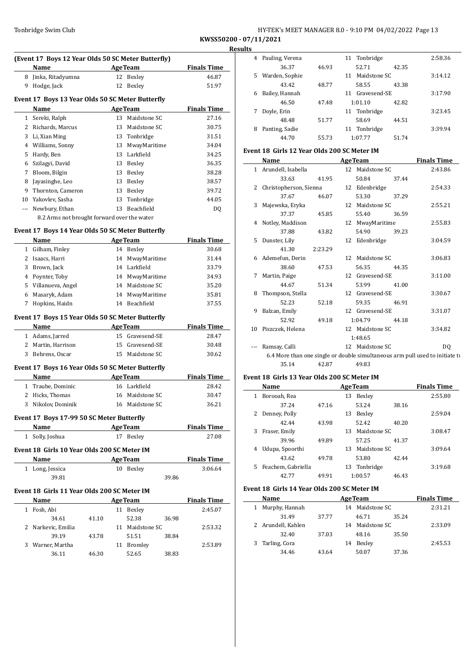| Tonbridge Swim Club | HY-TEK's MEET MANAGER 8.0 - 9:10 PM 04/02/2022 Page 13 |
|---------------------|--------------------------------------------------------|
|---------------------|--------------------------------------------------------|

**KWSS50200 - 07/11/2021 Results**

|              | (Event 17 Boys 12 Year Olds 50 SC Meter Butterfly) |         |                |                                    |       |                             |
|--------------|----------------------------------------------------|---------|----------------|------------------------------------|-------|-----------------------------|
|              | Name                                               | AgeTeam |                |                                    |       | <b>Finals Time</b>          |
|              | 8 Jinka, Ritadyumna                                |         |                | 12 Bexley                          |       | 46.87                       |
|              | 9 Hodge, Jack                                      |         | 12             | Bexley                             |       | 51.97                       |
|              | Event 17 Boys 13 Year Olds 50 SC Meter Butterfly   |         |                |                                    |       |                             |
|              | Name                                               |         | <b>AgeTeam</b> |                                    |       | <b>Finals Time</b>          |
|              | 1 Sereki, Ralph                                    |         |                | 13 Maidstone SC                    |       | 27.16                       |
|              | 2 Richards, Marcus                                 |         | 13             | Maidstone SC                       |       | 30.75                       |
|              | 3 Li, Xian Ming                                    |         |                | 13 Tonbridge                       |       | 31.51                       |
|              | 4 Williams, Sonny                                  |         |                | 13 MwayMaritime                    |       | 34.04                       |
|              | 5 Hardy, Ben                                       |         |                | 13 Larkfield                       |       | 34.25                       |
|              | 6 Szilagyi, David                                  |         |                | 13 Bexley                          |       | 36.35                       |
| 7            | Bloom, Bilgin                                      |         |                | 13 Bexley                          |       | 38.28                       |
| 8            | Jayasinghe, Leo                                    |         |                | 13 Bexley                          |       | 38.57                       |
| 9            | Thornton, Cameron                                  |         |                | 13 Bexley                          |       | 39.72                       |
|              | 10 Yakovlev, Sasha                                 |         |                | 13 Tonbridge                       |       | 44.05                       |
|              | --- Newbury, Ethan                                 |         |                | 13 Beachfield                      |       | DQ                          |
|              | 8.2 Arms not brought forward over the water        |         |                |                                    |       |                             |
|              |                                                    |         |                |                                    |       |                             |
|              | Event 17 Boys 14 Year Olds 50 SC Meter Butterfly   |         |                |                                    |       |                             |
|              | Name                                               |         |                | <b>AgeTeam</b>                     |       | <b>Finals Time</b><br>30.68 |
|              | 1 Gilham, Finley<br>2 Isaacs, Harri                |         |                | 14 Bexley<br>14 MwayMaritime       |       | 31.44                       |
|              | 3 Brown, Jack                                      |         |                | 14 Larkfield                       |       | 33.79                       |
|              |                                                    |         |                |                                    |       |                             |
|              | 4 Poynter, Toby<br>5 Villanueva, Angel             |         |                | 14 MwayMaritime<br>14 Maidstone SC |       | 34.93<br>35.20              |
|              | 6 Masaryk, Adam                                    |         |                | 14 MwayMaritime                    |       |                             |
| 7            | Hopkins, Haidn                                     |         |                | 14 Beachfield                      |       | 35.81<br>37.55              |
|              |                                                    |         |                |                                    |       |                             |
|              | Event 17 Boys 15 Year Olds 50 SC Meter Butterfly   |         |                |                                    |       |                             |
|              | Name                                               |         |                | <b>AgeTeam</b>                     |       | <b>Finals Time</b>          |
|              | 1 Adams, Jarred                                    |         |                | 15 Gravesend-SE                    |       | 28.47                       |
|              | 2 Martin, Harrison                                 |         |                | 15 Gravesend-SE<br>15 Maidstone SC |       | 30.48                       |
|              | 3 Behrens, Oscar                                   |         |                |                                    |       | 30.62                       |
|              | Event 17 Boys 16 Year Olds 50 SC Meter Butterfly   |         |                |                                    |       |                             |
|              | Name                                               |         |                | <b>AgeTeam</b>                     |       | <b>Finals Time</b>          |
| $\mathbf{1}$ | Traube, Dominic                                    |         |                | 16 Larkfield                       |       | 28.42                       |
|              | 2 Hicks, Thomas                                    |         |                | 16 Maidstone SC                    |       | 30.47                       |
|              | 3 Nikolov, Dominik                                 |         |                | 16 Maidstone SC                    |       | 36.21                       |
|              | Event 17 Boys 17-99 50 SC Meter Butterfly          |         |                |                                    |       |                             |
|              | Name                                               |         |                | <b>AgeTeam</b>                     |       | <b>Finals Time</b>          |
|              | 1 Solly, Joshua                                    |         |                | 17 Bexley                          |       | 27.08                       |
|              | Event 18 Girls 10 Year Olds 200 SC Meter IM        |         |                |                                    |       |                             |
|              | Name                                               |         |                | <b>AgeTeam</b>                     |       | <b>Finals Time</b>          |
|              | 1 Long, Jessica                                    |         |                | 10 Bexley                          |       | 3:06.64                     |
|              | 39.81                                              |         |                |                                    | 39.86 |                             |
|              |                                                    |         |                |                                    |       |                             |
|              | Event 18 Girls 11 Year Olds 200 SC Meter IM        |         |                |                                    |       |                             |
|              | Name                                               |         |                | <b>AgeTeam</b>                     |       | <b>Finals Time</b>          |
|              | 1 Fosh, Abi                                        |         |                | 11 Bexley                          |       | 2:45.07                     |
|              | 34.61                                              | 41.10   |                | 52.38                              | 36.98 |                             |
|              | 2 Narkevic, Emilia                                 |         |                | 11 Maidstone SC                    |       | 2:53.32                     |
|              | 39.19                                              | 43.78   |                | 51.51                              | 38.84 |                             |
|              | 3 Warner, Martha                                   |         |                | 11 Bromley                         |       | 2:53.89                     |
|              | 36.11                                              | 46.30   |                | 52.65                              | 38.83 |                             |

| 4  | Pauling, Verena |       | 11 Tonbridge       | 2:58.36 |
|----|-----------------|-------|--------------------|---------|
|    | 36.37           | 46.93 | 52.71<br>42.35     |         |
| 5. | Warden, Sophie  |       | Maidstone SC<br>11 | 3:14.12 |
|    | 43.42           | 48.77 | 58.55<br>43.38     |         |
| 6  | Bailey, Hannah  |       | Gravesend-SE<br>11 | 3:17.90 |
|    | 46.50           | 47.48 | 1:01.10<br>42.82   |         |
|    | Doyle, Erin     |       | 11 Tonbridge       | 3:23.45 |
|    | 48.48           | 51.77 | 58.69<br>44.51     |         |
| 8  | Panting, Sadie  |       | Tonbridge<br>11    | 3:39.94 |
|    | 44.70           | 55.73 | 1:07.77<br>51.74   |         |

### **Event 18 Girls 12 Year Olds 200 SC Meter IM**

|   | Name                     |         | <b>AgeTeam</b>  |       | <b>Finals Time</b>                                                           |
|---|--------------------------|---------|-----------------|-------|------------------------------------------------------------------------------|
|   | 1 Arundell, Isabella     |         | 12 Maidstone SC |       | 2:43.86                                                                      |
|   | 33.63                    | 41.95   | 50.84           | 37.44 |                                                                              |
|   | 2 Christopherson, Sienna |         | 12 Edenbridge   |       | 2:54.33                                                                      |
|   | 37.67                    | 46.07   | 53.30           | 37.29 |                                                                              |
|   | 3 Majewska, Eryka        |         | 12 Maidstone SC |       | 2:55.21                                                                      |
|   | 37.37                    | 45.85   | 55.40           | 36.59 |                                                                              |
|   | 4 Notley, Maddison       |         | 12 MwayMaritime |       | 2:55.83                                                                      |
|   | 37.88                    | 43.82   | 54.90           | 39.23 |                                                                              |
|   | 5 Dunster, Lily          |         | 12 Edenbridge   |       | 3:04.59                                                                      |
|   | 41.30                    | 2:23.29 |                 |       |                                                                              |
|   | 6 Ademefun, Derin        |         | 12 Maidstone SC |       | 3:06.83                                                                      |
|   | 38.60                    | 47.53   | 56.35           | 44.35 |                                                                              |
| 7 | Martin, Paige            |         | 12 Gravesend-SE |       | 3:11.00                                                                      |
|   | 44.67                    | 51.34   | 53.99           | 41.00 |                                                                              |
|   | 8 Thompson, Stella       |         | 12 Gravesend-SE |       | 3:30.67                                                                      |
|   | 52.23                    | 52.18   | 59.35           | 46.91 |                                                                              |
| 9 | Balzan, Emily            |         | 12 Gravesend-SE |       | 3:31.07                                                                      |
|   | 52.92                    | 49.18   | 1:04.79         | 44.18 |                                                                              |
|   | 10 Piszczek, Helena      |         | 12 Maidstone SC |       | 3:34.82                                                                      |
|   |                          |         | 1:48.65         |       |                                                                              |
|   | Ramsay, Calli            |         | 12 Maidstone SC |       | D <sub>0</sub>                                                               |
|   |                          |         |                 |       | 6.4 More than one single or double simultaneous arm pull used to initiate tu |
|   | 35.14                    | 42.87   | 49.83           |       |                                                                              |
|   |                          |         |                 |       |                                                                              |

### **Event 18 Girls 13 Year Olds 200 SC Meter IM**

|              | Name               |       |    | <b>AgeTeam</b> |       | <b>Finals Time</b> |
|--------------|--------------------|-------|----|----------------|-------|--------------------|
| 1            | Borooah, Rea       |       | 13 | Bexley         |       | 2:55.80            |
|              | 37.24              | 47.16 |    | 53.24          | 38.16 |                    |
| $\mathbf{Z}$ | Denney, Polly      |       | 13 | Bexley         |       | 2:59.04            |
|              | 42.44              | 43.98 |    | 52.42          | 40.20 |                    |
| 3            | Fraser, Emily      |       | 13 | Maidstone SC   |       | 3:08.47            |
|              | 39.96              | 49.89 |    | 57.25          | 41.37 |                    |
| 4            | Udupa, Spoorthi    |       | 13 | Maidstone SC   |       | 3:09.64            |
|              | 43.62              | 49.78 |    | 53.80          | 42.44 |                    |
| 5            | Feachem, Gabriella |       | 13 | Tonbridge      |       | 3:19.68            |
|              | 42.77              | 49.91 |    | 1:00.57        | 46.43 |                    |

### **Event 18 Girls 14 Year Olds 200 SC Meter IM**

| <b>Name</b>    |                                     |    |        |                | <b>Finals Time</b>                 |
|----------------|-------------------------------------|----|--------|----------------|------------------------------------|
| Murphy, Hannah |                                     |    |        |                | 2:31.21                            |
| 31.49          | 37.77                               |    | 46.71  | 35.24          |                                    |
|                |                                     |    |        |                | 2:33.09                            |
| 32.40          | 37.03                               |    | 48.16  | 35.50          |                                    |
|                |                                     | 14 | Bexley |                | 2:45.53                            |
| 34.46          | 43.64                               |    | 50.07  | 37.36          |                                    |
|                | 2 Arundell, Kahlen<br>Tarling, Cora |    |        | <b>AgeTeam</b> | 14 Maidstone SC<br>14 Maidstone SC |